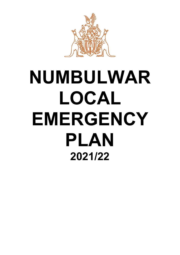

# **NUMBULWAR LOCAL EMERGENCY PLAN 2021/22**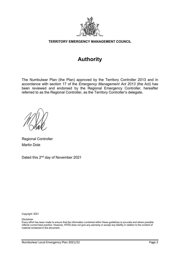

**TERRITORY EMERGENCY MANAGEMENT COUNCIL**

## **Authority**

The Numbulwar Plan (the Plan) approved by the Territory Controller 2013 and in accordance with section 17 of the *Emergency Management Act 2013* (the Act) has been reviewed and endorsed by the Regional Emergency Controller, hereafter referred to as the Regional Controller, as the Territory Controller's delegate.

Regional Controller Martin Dole

Dated this 2nd day of November 2021

Copyright: 2021

Disclaimer

Every effort has been made to ensure that the information contained within these guidelines is accurate and where possible reflects current best practice. However, NTES does not give any warranty or accept any liability in relation to the content of material contained in the document.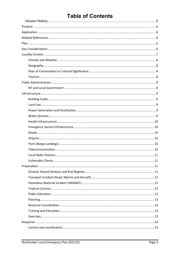## **Table of Contents**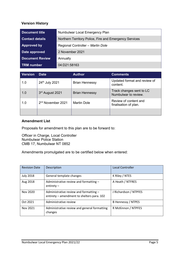#### <span id="page-4-0"></span>**Version History**

| <b>Document title</b>  | Numbulwar Local Emergency Plan                         |
|------------------------|--------------------------------------------------------|
| <b>Contact details</b> | Northern Territory Police, Fire and Emergency Services |
| Approved by            | Regional Controller - Martin Dole                      |
| Date approved          | 2 November 2021                                        |
| <b>Document Review</b> | Annually                                               |
| <b>TRM</b> number      | 04:D21:58163                                           |

| <b>Version</b> | <b>Date</b>                   | <b>Author</b>         | <b>Comments</b>                                  |
|----------------|-------------------------------|-----------------------|--------------------------------------------------|
| 1.0            | 24th July 2021                | <b>Brian Hennessy</b> | Updated format and review of<br>content.         |
| 1.0            | 3rd August 2021               | <b>Brian Hennessy</b> | Track changes sent to LC<br>Numbulwar to review. |
| 1.0            | 2 <sup>nd</sup> November 2021 | <b>Martin Dole</b>    | Review of content and<br>finalisation of plan.   |
|                |                               |                       |                                                  |

#### **Amendment List**

Proposals for amendment to this plan are to be forward to:

Officer in Charge, Local Controller Numbulwar Police Station CMB 17, Numbulwar NT 0852

Amendments promulgated are to be certified below when entered:

| <b>Revision Date</b> | Description                                                                          | <b>Local Controller</b> |
|----------------------|--------------------------------------------------------------------------------------|-------------------------|
| <b>July 2018</b>     | General template changes                                                             | K Riley / NTES          |
| Aug 2018             | Administrative review and formatting -<br>$entirety -$                               | A Heath / NTFRES        |
| Nov 2020             | Administrative review and formatting -<br>entirety - amendment to shelters para. 102 | J Richardson / NTPFES   |
| Oct 2021             | Administrative review                                                                | B Hennessy / NTPES      |
| Nov 2021             | Administrative review and general formatting<br>changes                              | R McKinnon / NTPFES     |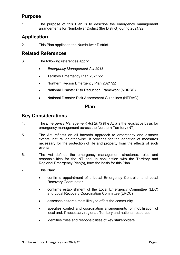## <span id="page-5-0"></span>**Purpose**

1. The purpose of this Plan is to describe the emergency management arrangements for Numbulwar District (the District) during 2021/22.

## <span id="page-5-1"></span>**Application**

2. This Plan applies to the Numbulwar District.

## <span id="page-5-2"></span>**Related References**

- 3. The following references apply:
	- *Emergency Management Act 2013*
	- Territory Emergency Plan 2021/22
	- Northern Region Emergency Plan 2021/22
	- National Disaster Risk Reduction Framework (NDRRF)
	- National Disaster Risk Assessment Guidelines (NERAG).

### **Plan**

## <span id="page-5-4"></span><span id="page-5-3"></span>**Key Considerations**

- 4. The *Emergency Management Act 2013* (the Act) is the legislative basis for emergency management across the Northern Territory (NT).
- 5. The Act reflects an all hazards approach to emergency and disaster events, natural or otherwise. It provides for the adoption of measures necessary for the protection of life and property from the effects of such events.
- 6. The Act defines the emergency management structures, roles and responsibilities for the NT and, in conjunction with the Territory and Regional Emergency Plan(s), form the basis for this Plan.
- 7. This Plan:
	- confirms appointment of a Local Emergency Controller and Local Recovery Coordinator
	- confirms establishment of the Local Emergency Committee (LEC) and Local Recovery Coordination Committee (LRCC)
	- assesses hazards most likely to affect the community
	- specifies control and coordination arrangements for mobilisation of local and, if necessary regional, Territory and national resources
	- identifies roles and responsibilities of key stakeholders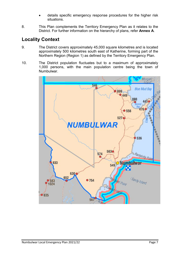- details specific emergency response procedures for the higher risk situations.
- 8. This Plan complements the Territory Emergency Plan as it relates to the District. For further information on the hierarchy of plans, refer **Annex A**.

## <span id="page-6-0"></span>**Locality Context**

- 9. The District covers approximately 45,000 square kilometres and is located approximately 500 kilometres south east of Katherine, forming part of the Northern Region (Region 1) as defined by the Territory Emergency Plan.
- 10. The District population fluctuates but to a maximum of approximately 1,000 persons, with the main population centre being the town of Numbulwar.

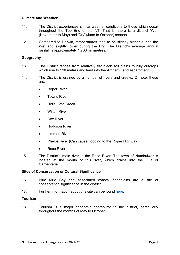#### <span id="page-7-0"></span>**Climate and Weather**

- 11. The District experiences similar weather conditions to those which occur throughout the Top End of the NT. That is, there is a distinct 'Wet' (November to May) and 'Dry' (June to October) season.
- 12. Compared to Darwin, temperatures tend to be slightly higher during the Wet and slightly lower during the Dry. The District's average annual rainfall is approximately 1,700 millimetres.

#### <span id="page-7-1"></span>**Geography**

- 13. The District ranges from relatively flat black soil plains to hilly outcrops which rise to 190 metres and lead into the Arnhem Land escarpment.
- 14. The District is drained by a number of rivers and creeks. Of note, these are:
	- Roper River
	- **Towns River**
	- Hells Gate Creek
	- Wilton River
	- Cox River
	- Hodgson River
	- Limmen River
	- Phelps River (Can cause flooding to the Roper Highway)
	- Rose River
- 15. The District's main river is the Rose River. The town of Numbulwar is located at the mouth of this river, which drains into the Gulf of Carpentaria.

#### <span id="page-7-2"></span>**Sites of Conservation or Cultural Significance**

- 16. Blue Mud Bay and associated coastal floodplains are a site of conservation significance in the district.
- 17. Further information about this site can be found [here.](https://nt.gov.au/environment/environment-data-maps/important-biodiversity-conservation-sites/conservation-significance-list)

#### <span id="page-7-3"></span>**Tourism**

18. Tourism is a major economic contributor to the district, particularly throughout the months of May to October.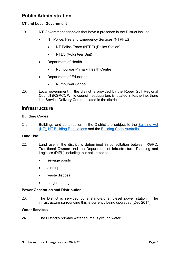## <span id="page-8-0"></span>**Public Administration**

#### <span id="page-8-1"></span>**NT and Local Government**

- 19. NT Government agencies that have a presence in the District include:
	- NT Police, Fire and Emergency Services (NTPFES)
		- NT Police Force (NTPF) (Police Station)
		- NTES (Volunteer Unit)
	- Department of Health
		- Numbulwar Primary Health Centre
	- Department of Education
		- Numbulwar School.
- 20. Local government in the district is provided by the Roper Gulf Regional Council (RGRC). While council headquarters is located in Katherine, there is a Service Delivery Centre located in the district.

## <span id="page-8-2"></span>**Infrastructure**

#### <span id="page-8-3"></span>**Building Codes**

21. Buildings and construction in the District are subject to the Building Act (NT), [NT Building Regulations](https://legislation.nt.gov.au/Legislation/BUILDING-REGULATIONS) and the [Building Code Australia.](https://www.abcb.gov.au/NCC/About)

#### <span id="page-8-4"></span>**Land Use**

- 22. Land use in the district is determined in consultation between RGRC, Traditional Owners and the Department of Infrastructure, Planning and Logistics (DIPL) including, but not limited to:
	- sewage ponds
	- air strip
	- waste disposal
	- barge landing.

#### <span id="page-8-5"></span>**Power Generation and Distribution**

23. The District is serviced by a stand-alone, diesel power station. The infrastructure surrounding this is currently being upgraded (Dec 2017).

#### <span id="page-8-6"></span>**Water Services**

24. The District's primary water source is ground water.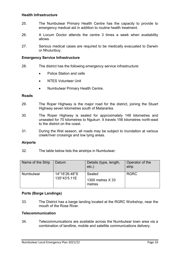#### <span id="page-9-0"></span>**Health Infrastructure**

- 25. The Numbulwar Primary Health Centre has the capacity to provide to emergency medical aid in addition to routine health treatment.
- 26. A Locum Doctor attends the centre 3 times a week when availability allows.
- 27. Serious medical cases are required to be medically evacuated to Darwin or Nhulunbuy.

#### <span id="page-9-1"></span>**Emergency Service Infrastructure**

- 28. The district has the following emergency service infrastructure:
	- Police Station and cells
	- NTES Volunteer Unit
	- Numbulwar Primary Health Centre.

#### <span id="page-9-2"></span>**Roads**

- 29. The Roper Highway is the major road for the district, joining the Stuart Highway seven kilometres south of Mataranka.
- 30. The Roper Highway is sealed for approximately 148 kilometres and unsealed for 70 kilometres to Ngukurr. It travels 156 kilometres north-east to the district on the coast.
- 31. During the Wet season, all roads may be subject to inundation at various creek/river crossings and low lying areas.

#### <span id="page-9-3"></span>**Airports**

32. The table below lists the airstrips in Numbulwar:

| Name of the Strip | Datum                         | Details (type, length,<br>$etc.$ )   | Operator of the<br>strip |
|-------------------|-------------------------------|--------------------------------------|--------------------------|
| <b>Numbulwar</b>  | 14°16'26.48"S<br>135°43'5.11E | Sealed<br>1300 metres X 33<br>metres | <b>RGRC</b>              |

#### <span id="page-9-4"></span>**Ports (Barge Landings)**

33. The District has a barge landing located at the RGRC Workshop, near the mouth of the Rose River.

#### <span id="page-9-5"></span>**Telecommunication**

34. Telecommunications are available across the Numbulwar town area via a combination of landline, mobile and satellite communications delivery.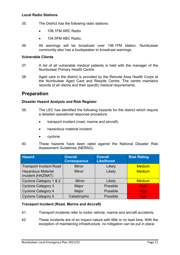#### <span id="page-10-0"></span>**Local Radio Stations**

- 35. The District has the following radio stations:
	- 106.1FM ARC Radio
	- 104.5FM ABC Radio.
- 36. All warnings will be broadcast over 106.1FM station. Numbulwar community also has a loudspeaker to broadcast warnings.

#### <span id="page-10-1"></span>**Vulnerable Clients**

- 37. A list of all vulnerable medical patients is held with the manager of the Numbulwar Primary Health Centre.
- 38. Aged care in the district is provided by the Remote Area Health Corps at the Numbulwar Aged Care and Respite Centre. The centre maintains records of all clients and their specific medical requirements.

## <span id="page-10-2"></span>**Preparation**

#### <span id="page-10-3"></span>**Disaster Hazard Analysis and Risk Register**

- 39. The LEC has identified the following hazards for the district which require a detailed operational response procedure:
	- transport incident (road, marine and aircraft)
	- hazardous material incident
	- cyclone.
- 40. These hazards have been rated against the National Disaster Risk Assessment Guidelines (NERAG):

| <b>Hazard</b>                                  | <b>Overall</b><br><b>Consequence</b> | <b>Overall</b><br>Likelihood | <b>Risk Rating</b> |
|------------------------------------------------|--------------------------------------|------------------------------|--------------------|
| <b>Transport Incident Road</b>                 | <b>Minor</b>                         | Likely                       | <b>Medium</b>      |
| <b>Hazardous Material</b><br>Incident (HAZMAT) | <b>Minor</b>                         | Likely                       | <b>Medium</b>      |
| Cyclone Category 1 & 2                         | <b>Minor</b>                         | Likely                       | <b>Medium</b>      |
| <b>Cyclone Category 3</b>                      | Major                                | Possible                     | <b>High</b>        |
| <b>Cyclone Category 4</b>                      | Major                                | Possible                     | <b>High</b>        |
| <b>Cyclone Category 5</b>                      | Catastrophic                         | Possible                     | <b>High</b>        |

#### <span id="page-10-4"></span>**Transport Incident (Road, Marine and Aircraft)**

- 41. Transport incidents refer to motor vehicle, marine and aircraft accidents.
- 42. These incidents are of an impact nature with little or no lead time. With the exception of maintaining infrastructure, no mitigation can be put in place.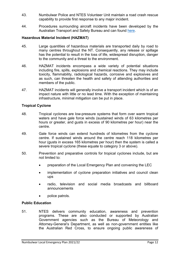- 43. Numbulwar Police and NTES Volunteer Unit maintain a road crash rescue capability to provide first response to any major incident.
- 44. Procedures surrounding aircraft incidents have been developed by the Australian Transport and Safety Bureau and can found [here.](https://www.atsb.gov.au/media/1538966/civil_militaryaccidguide_v5.pdf)

#### <span id="page-11-0"></span>**Hazardous Material Incident (HAZMAT)**

- 45. Large quantities of hazardous materials are transported daily by road to many centres throughout the NT. Consequently, any release or spillage has the potential to result in the loss of life, widespread disruption, danger to the community and a threat to the environment.
- 46. HAZMAT incidents encompass a wide variety of potential situations including fire, spills, explosions and chemical reactions. They may include toxicity, flammability, radiological hazards, corrosive and explosives and as such, can threaten the health and safety of attending authorities and members of the public.
- 47. HAZMAT incidents will generally involve a transport incident which is of an impact nature with little or no lead time. With the exception of maintaining infrastructure, minimal mitigation can be put in place.

#### <span id="page-11-1"></span>**Tropical Cyclone**

- 48. Tropical cyclones are low-pressure systems that form over warm tropical waters and have gale force winds (sustained winds of 63 kilometres per hours or greater, and gusts in excess of 90 kilometres per hour) near the centre.
- 49. Gale force winds can extend hundreds of kilometres from the cyclone centre. If sustained winds around the centre reach 118 kilometres per hour (gusts in excess 165 kilometres per hour) then the system is called a severe tropical cyclone (these equate to category 3 or above).
- 50. Prevention and preparative controls for tropical cyclones include, but are not limited to:
	- preparation of the Local Emergency Plan and convening the LEC
	- implementation of cyclone preparation initiatives and council clean ups
	- radio, television and social media broadcasts and billboard announcements
	- police patrols.

#### <span id="page-11-2"></span>**Public Education**

51. NTES delivers community education, awareness and prevention programs. These are also conducted or supported by Australian Government agencies such as the Bureau of Meteorology and Attorney-General's Department, as well as non-government entities like the Australian Red Cross, to ensure ongoing public awareness of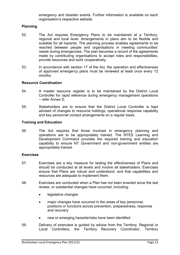emergency and disaster events. Further information is available on each organisation's respective website.

#### <span id="page-12-0"></span>**Planning**

- 52. The Act requires Emergency Plans to be maintained at a Territory, regional and local level. Arrangements in plans aim to be flexible and scalable for all hazards. The planning process enables agreements to be reached between people and organisations in meeting communities' needs during emergencies. The plan becomes a record of the agreements made by contributing organisations to accept roles and responsibilities, provide resources and work cooperatively.
- 53. In accordance with section 17 of the Act, the operation and effectiveness of approved emergency plans must be reviewed at least once every 12 months.

#### <span id="page-12-1"></span>**Resource Coordination**

- 54. A master resource register is to be maintained by the District Local Controller for rapid reference during emergency management operations – refer Annex D.
- 55. Stakeholders are to ensure that the District Local Controller is kept advised of changes to resource holdings, operational response capability and key personnel contact arrangements on a regular basis.

#### <span id="page-12-2"></span>**Training and Education**

56. The Act requires that those involved in emergency planning and operations are to be appropriately trained. The NTES Learning and Development Command provides the required training and education capability to ensure NT Government and non-government entities are appropriately trained.

#### <span id="page-12-3"></span>**Exercises**

- 57. Exercises are a key measure for testing the effectiveness of Plans and should be conducted at all levels and involve all stakeholders. Exercises ensure that Plans are robust and understood, and that capabilities and resources are adequate to implement them.
- 58. Exercises are conducted when a Plan has not been enacted since the last review, or substantial changes have occurred, including:
	- legislative changes
	- major changes have occurred in the areas of key personnel, positions or functions across prevention, preparedness, response and recovery
	- new or emerging hazards/risks have been identified
- 59. Delivery of exercises is guided by advice from the Territory, Regional or Local Controllers, the Territory Recovery Coordinator, Territory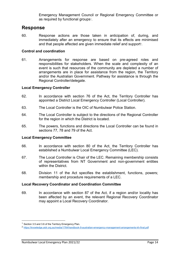Emergency Management Council or Regional Emergency Committee or as required by functional groups $\cdot$ .

## <span id="page-13-0"></span>**Response**

60. Response actions are those taken in anticipation of, during, and immediately after an emergency to ensure that its effects are minimised and that people affected are given immediate relief and support $^{\circ}$ .

#### <span id="page-13-1"></span>**Control and coordination**

61. Arrangements for response are based on pre-agreed roles and responsibilities for stakeholders. When the scale and complexity of an event is such that resources of the community are depleted a number of arrangements are in place for assistance from the region, the Territory and/or the Australian Government. Pathway for assistance is through the Regional Controller/delegate.

#### <span id="page-13-2"></span>**Local Emergency Controller**

- 62. In accordance with section 76 of the Act, the Territory Controller has appointed a District Local Emergency Controller (Local Controller).
- 63. The Local Controller is the OIC of Numbulwar Police Station.
- 64. The Local Controller is subject to the directions of the Regional Controller for the region in which the District is located.
- 65. The powers, functions and directions the Local Controller can be found in sections 77, 78 and 79 of the Act.

#### <span id="page-13-3"></span>**Local Emergency Committee**

- 66. In accordance with section 80 of the Act, the Territory Controller has established a Numbulwar Local Emergency Committee (LEC).
- 67. The Local Controller is Chair of the LEC. Remaining membership consists of representatives from NT Government and non-government entities within the District.
- 68. Division 11 of the Act specifies the establishment, functions, powers; membership and procedure requirements of a LEC.

#### <span id="page-13-4"></span>**Local Recovery Coordinator and Coordination Committee**

69. In accordance with section 87 of the Act, if a region and/or locality has been affected by an event, the relevant Regional Recovery Coordinator may appoint a Local Recovery Coordinator.

<u>.</u>

<span id="page-13-5"></span><sup>&</sup>lt;sup>1</sup> Section 3.5 and 3.6 of the Territory Emergency Plan.

<span id="page-13-6"></span><sup>2</sup> <https://knowledge.aidr.org.au/media/1764/handbook-9-australian-emergency-management-arrangements-kh-final.pdf>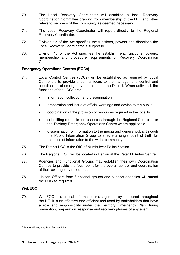- 70. The Local Recovery Coordinator will establish a local Recovery Coordination Committee drawing from membership of the LEC and other relevant members of the community as deemed necessary.
- 71. The Local Recovery Coordinator will report directly to the Regional Recovery Coordinator.
- 72. Division 12 of the Act specifies the functions, powers and directions the Local Recovery Coordinator is subject to.
- 73. Division 13 of the Act specifies the establishment, functions, powers; membership and procedure requirements of Recovery Coordination Committee.

#### <span id="page-14-0"></span>**Emergency Operations Centres (EOCs)**

- 74. Local Control Centres (LCCs) will be established as required by Local Controllers to provide a central focus to the management, control and coordination of emergency operations in the District. When activated, the functions of the LCCs are:
	- information collection and dissemination
	- preparation and issue of official warnings and advice to the public
	- coordination of the provision of resources required in the locality
	- submitting requests for resources through the Regional Controller or the Territory Emergency Operations Centre where applicable
	- dissemination of information to the media and general public through the Public Information Group to ensure a single point of truth for releases of information to the wider community<sup>[3](#page-14-2)</sup>
- 75. The District LCC is the OIC of Numbulwar Police Station.
- 76. The Regional EOC will be located in Darwin at the Peter McAulay Centre.
- 77. Agencies and Functional Groups may establish their own Coordination Centres to provide the focal point for the overall control and coordination of their own agency resources.
- 78. Liaison Officers from functional groups and support agencies will attend the EOC as required.

#### <span id="page-14-1"></span>**WebEOC**

 $\overline{a}$ 

79. WebEOC is a critical information management system used throughout the NT. It is an effective and efficient tool used by stakeholders that have a role and responsibility under the Territory Emergency Plan during prevention, preparation, response and recovery phases of any event.

<span id="page-14-2"></span><sup>3</sup> Territory Emergency Plan Section 4.5.3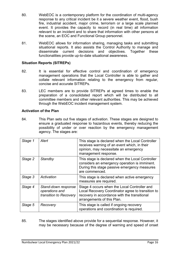- 80. WebEOC is a contemporary platform for the coordination of multi-agency response to any critical incident be it a severe weather event, flood, bush fire, industrial accident, major crime, terrorism or a large scale planned event. It provides the capacity to record (in real time) all information relevant to an incident and to share that information with other persons at the scene, an EOC and Functional Group personnel.
- 81. WebEOC allows for information sharing, managing tasks and submitting situational reports. It also assists the Control Authority to manage and disseminate current decisions functionalities provide up-to-date situational awareness.

#### <span id="page-15-0"></span>**Situation Reports (SITREPs)**

- 82. It is essential for effective control and coordination of emergency management operations that the Local Controller is able to gather and collate relevant information relating to the emergency from regular, concise and accurate SITREPs.
- 83. LEC members are to provide SITREPs at agreed times to enable the preparation of a consolidated report which will be distributed to all committee members and other relevant authorities. This may be achieved through the WebEOC incident management system.

#### <span id="page-15-1"></span>**Activation of the Plan**

84. This Plan sets out five stages of activation. These stages are designed to ensure a graduated response to hazardous events, thereby reducing the possibility of under or over reaction by the emergency management agency. The stages are:

| Stage 1 | Alert                                                           | This stage is declared when the Local Controller<br>receives warning of an event which, in their<br>opinion, may necessitate an emergency<br>management response.               |
|---------|-----------------------------------------------------------------|---------------------------------------------------------------------------------------------------------------------------------------------------------------------------------|
| Stage 2 | Standby                                                         | This stage is declared when the Local Controller<br>considers an emergency operation is imminent.<br>During this stage passive emergency measures<br>are commenced.             |
| Stage 3 | Activation                                                      | This stage is declared when active emergency<br>measures are required.                                                                                                          |
| Stage 4 | Stand-down response<br>operations and<br>transition to Recovery | Stage 4 occurs when the Local Controller and<br>Local Recovery Coordinator agree to transition to<br>recovery in accordance with the transitional<br>arrangements of this Plan. |
| Stage 5 | Recovery                                                        | This stage is called if ongoing recovery<br>operations and coordination is required.                                                                                            |

85. The stages identified above provide for a sequential response. However, it may be necessary because of the degree of warning and speed of onset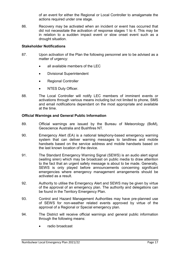of an event for either the Regional or Local Controller to amalgamate the actions required under one stage.

86. Recovery may be activated when an incident or event has occurred that did not necessitate the activation of response stages 1 to 4. This may be in relation to a sudden impact event or slow onset event such as a drought situation.

#### <span id="page-16-0"></span>**Stakeholder Notifications**

- 87. Upon activation of the Plan the following personnel are to be advised as a matter of urgency:
	- all available members of the LEC
	- Divisional Superintendent
	- Regional Controller
	- NTES Duty Officer.
- 88. The Local Controller will notify LEC members of imminent events or activations through various means including but not limited to phone, SMS and email notifications dependant on the most appropriate and available at the time.

#### <span id="page-16-1"></span>**Official Warnings and General Public Information**

- 89. Official warnings are issued by the Bureau of Meteorology (BoM), Geoscience Australia and Bushfires NT.
- 90. Emergency Alert (EA) is a national telephony-based emergency warning system that can deliver warning messages to landlines and mobile handsets based on the service address and mobile handsets based on the last known location of the device.
- 91. The Standard Emergency Warning Signal (SEWS) is an audio alert signal (wailing siren) which may be broadcast on public media to draw attention to the fact that an urgent safety message is about to be made. Generally, SEWS is only played before announcements concerning significant emergencies where emergency management arrangements should be activated as a result.
- 92. Authority to utilise the Emergency Alert and SEWS may be given by virtue of the approval of an emergency plan. The authority and delegations can be found in the Territory Emergency Plan.
- 93. Control and Hazard Management Authorities may have pre-planned use of SEWS for non-weather related events approved by virtue of the approval of a Regional or Special emergency plan.
- 94. The District will receive official warnings and general public information through the following means:
	- radio broadcast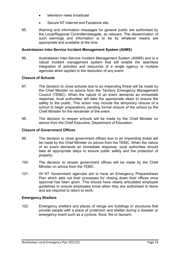- television news broadcast
- Secure NT internet and Facebook site.
- 95. Warning and information messages for general public are authorised by the Local/Regional Controller/delegate, as relevant. The dissemination of such warnings and information is to be by whatever means are appropriate and available at the time.

#### <span id="page-17-0"></span>**Australasian Inter-Service Incident Management System (AIIMS)**

96. Australasian Inter-Service Incident Management System (AIIMS) and is a robust incident management system that will enable the seamless integration of activities and resources of a single agency or multiple agencies when applied to the resolution of any event.

#### <span id="page-17-1"></span>**Closure of Schools**

- 97. The decision to close schools due to an impending threat will be made by the Chief Minister on advice from the Territory Emergency Management Council (TEMC). When the nature of an event demands an immediate response, local authorities will take the appropriate steps to ensure the safety to the public. This action may include the temporary closure of a school to begin preparations, pending formal closure of the school by the Chief Minister for the remainder of the event.
- 98. The decision to reopen schools will be made by the Chief Minister on advice from the Chief Executive, Department of Education.

#### <span id="page-17-2"></span>**Closure of Government Offices**

- 99. The decision to close government offices due to an impending threat will be made by the Chief Minister on advice from the TEMC. When the nature of an event demands an immediate response, local authorities should take all appropriate steps to ensure public safety and the protection of property.
- 100. The decision to reopen government offices will be made by the Chief Minister on advice from the TEMC.
- 101. All NT Government agencies are to have an Emergency Preparedness Plan which sets out their processes for closing down their offices once approval has been given. This should have clearly articulated employee guidelines to ensure employees know when they are authorised to leave and are required to return to work.

#### <span id="page-17-3"></span>**Emergency Shelters**

102. Emergency shelters and places of refuge are buildings or structures that provide people with a place of protection and shelter during a disaster or emergency event such as a cyclone, flood, fire or tsunami.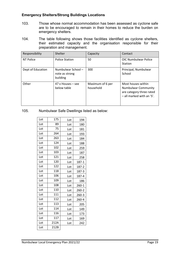#### <span id="page-18-0"></span>**Emergency Shelters/Strong Buildings Locations**

- 103. Those whose normal accommodation has been assessed as cyclone safe are to be encouraged to remain in their homes to reduce the burden on emergency shelters.
- 104. The table following shows those facilities identified as cyclone shelters, their estimated capacity and the organisation responsible for their preparation and management.

| Responsibility    | Shelter                                         | Capacity                      | Contact                                                                                                   |
|-------------------|-------------------------------------------------|-------------------------------|-----------------------------------------------------------------------------------------------------------|
| NT Police         | <b>Police Station</b>                           | 50                            | <b>OIC Numbulwar Police</b><br><b>Station</b>                                                             |
| Dept of Education | Numbulwar School-<br>note as strong<br>building | 300                           | Principal, Numbulwar<br>School                                                                            |
| Other             | $47x$ Houses – see<br>below table               | Maximum of 6 per<br>household | Most houses within<br><b>Numbulwar Community</b><br>are category three rated<br>- all marked with an 'S'. |

105. Numbulwar Safe Dwellings listed as below:

| Lot | 175  | Lot | 194       |
|-----|------|-----|-----------|
| Lot | 89   | Lot | 180       |
| Lot | 75   | Lot | 181       |
| Lot | 264  | Lot | 193       |
| Lot | 263  | Lot | 184       |
| Lot | 124  | Lot | 188       |
| Lot | 102  | Lot | 259       |
| Lot | 103  | Lot | 187       |
| Lot | 121  | Lot | 258       |
| Lot | 120  | Lot | 187-1     |
| Lot | 122  | Lot | 187-2     |
| Lot | 118  | Lot | 187-3     |
| Lot | 106  | Lot | 187-4     |
| Lot | 109  | Lot | 186       |
| Lot | 108  | Lot | 260-1     |
| Lot | 110  | Lot | 260-2     |
| Lot | 111  | Lot | $260 - 3$ |
| Lot | 112  | Lot | 260-4     |
| Lot | 113  | Lot | 205       |
| Lot | 114  | Lot | 149       |
| Lot | 116  | Lot | 173       |
| Lot | 117  | Lot | 169       |
| Lot | 212A | Lot | 242       |
| Lot | 212B |     |           |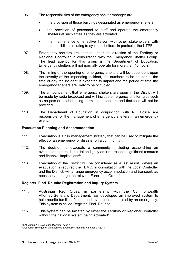- 106. The responsibilities of the emergency shelter manager are:
	- the provision of those buildings designated as emergency shelters
	- the provision of personnel to staff and operate the emergency shelters at such times as they are activated
	- the maintenance of effective liaison with other stakeholders with responsibilities relating to cyclone shelters, in particular the NTPF.
- 107. Emergency shelters are opened under the direction of the Territory or Regional Controller in consultation with the Emergency Shelter Group. The lead agency for this group is the Department of Education. Emergency shelters will not normally operate for more than 48 hours.
- 108. The timing of the opening of emergency shelters will be dependent upon the severity of the impending incident, the numbers to be sheltered, the time of day the incident is expected to impact and the period of time the emergency shelters are likely to be occupied.
- 109. The announcement that emergency shelters are open in the District will be made by radio broadcast and will include emergency shelter rules such as no pets or alcohol being permitted in shelters and that food will not be provided.
- 110. The Department of Education in conjunction with NT Police are responsible for the management of emergency shelters in an emergency event.

#### <span id="page-19-0"></span>**Evacuation Planning and Accommodation**

- 111. Evacuation is a risk management strategy that can be used to mitigate the effect of an emergency or disaster on a community<sup>[4](#page-19-2)</sup>.
- 112. The decision to evacuate a community, including establishing an evacuation centre, is not taken lightly as it represents significant resource and financial implications<sup>[5](#page-19-3)</sup>.
- 113. Evacuation of the District will be considered as a last resort. Where an evacuation is required the TEMC, in consultation with the Local Controller and the District, will arrange emergency accommodation and transport, as necessary, through the relevant Functional Group/s.

#### <span id="page-19-1"></span>**Register. Find. Reunite Registration and Inquiry System**

- 114. Australian Red Cross, in partnership with the Commonwealth Attorney-General's Department, has developed an improved system to help reunite families, friends and loved ones separated by an emergency. This system is called Register. Find. Reunite.
- 115. This system can be initiated by either the Territory or Regional Controller without the national system being activated $6$ .

 $\overline{\phantom{a}}$ <sup>4</sup> EM Manual 11 Evacuation Planning, page 1

<span id="page-19-3"></span><span id="page-19-2"></span><sup>5</sup> Australian Emergency Management, Evacuation Planning Handbook 4 2013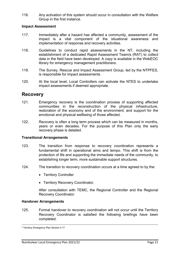116. Any activation of this system should occur in consultation with the Welfare Group in the first instance.

#### <span id="page-20-0"></span>**Impact Assessment**

- 117. Immediately after a hazard has affected a community, assessment of the impact is a vital component of the situational awareness and implementation of response and recovery activities.
- 118. Guidelines to conduct rapid assessments in the NT, including the establishment of a dedicated Rapid Assessment Team/s (RAT) to collect data in the field have been developed. A copy is available in the WebEOC library for emergency management practitioners.
- 119. The Survey, Rescue and Impact Assessment Group, led by the NTPFES, is responsible for impact assessments.
- 120. At the local level, Local Controllers can activate the NTES to undertake impact assessments if deemed appropriate.

## <span id="page-20-1"></span>**Recovery**

- 121. Emergency recovery is the coordination process of supporting affected communities in the reconstruction of the physical infrastructure, restoration of the economy and of the environment, and support for the emotional and physical wellbeing of those affected.
- 122. Recovery is often a long term process which can be measured in months, years or even decades. For the purpose of this Plan only the early recovery phase is detailed.

#### <span id="page-20-2"></span>**Transitional Arrangements**

- 123. The transition from response to recovery coordination represents a fundamental shift in operational aims and tempo. This shift is from the protection of life and supporting the immediate needs of the community, to establishing longer term, more sustainable support structures.
- 124. The transition to recovery coordination occurs at a time agreed to by the:
	- Territory Controller
	- Territory Recovery Coordinator.

After consultation with TEMC, the Regional Controller and the Regional Recovery Coordinator.

#### <span id="page-20-3"></span>**Handover Arrangements**

125. Formal handover to recovery coordination will not occur until the Territory Recovery Coordinator is satisfied the following briefings have been completed:

**.** 

<sup>6</sup> Territory Emergency Plan Section 4.17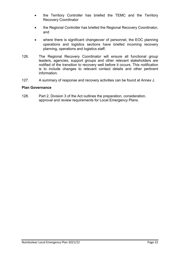- the Territory Controller has briefed the TEMC and the Territory Recovery Coordinator
- the Regional Controller has briefed the Regional Recovery Coordinator, and
- where there is significant changeover of personnel, the EOC planning operations and logistics sections have briefed incoming recovery planning, operations and logistics staff.
- 126. The Regional Recovery Coordinator will ensure all functional group leaders, agencies, support groups and other relevant stakeholders are notified of the transition to recovery well before it occurs. This notification is to include changes to relevant contact details and other pertinent information.
- 127. A summary of response and recovery activities can be found at Annex J.

#### <span id="page-21-0"></span>**Plan Governance**

128. Part 2, Division 3 of the Act outlines the preparation, consideration, approval and review requirements for Local Emergency Plans.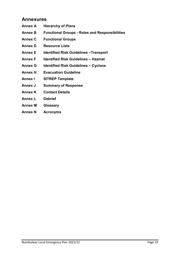## <span id="page-22-0"></span>**Annexures**

- **Annex A Hierarchy of Plans**
- **Annex B Functional Groups - Roles and Responsibilities**
- **Annex C Functional Groups**
- **Annex D Resource Lists**
- **Annex E Identified Risk Guidelines –Transport**
- **Annex F Identified Risk Guidelines – Hazmat**
- **Annex G Identified Risk Guidelines – Cyclone**
- **Annex H Evacuation Guideline**
- **Annex I SITREP Template**
- **Annex J Summary of Response**
- **Annex K Contact Details**
- **Annex L Debrief**
- **Annex M Glossary**
- **Annex N Acronyms**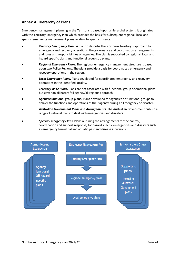#### <span id="page-23-0"></span>**Annex A: Hierarchy of Plans**

Emergency management planning in the Territory is based upon a hierarchal system. It originates with the Territory Emergency Plan which provides the basis for subsequent regional, local and specific emergency management plans relating to specific threats.

- *Territory Emergency Plan***.** A plan to describe the Northern Territory's approach to emergency and recovery operations, the governance and coordination arrangements and roles and responsibilities of agencies. The plan is supported by regional, local and hazard specific plans and functional group sub plans.
- *Regional Emergency Plans*. The regional emergency management structure is based upon two Police Regions. The plans provide a basis for coordinated emergency and recovery operations in the region.
- *Local Emergency Plans***.** Plans developed for coordinated emergency and recovery operations in the identified locality.
- *Territory Wide Plans***.** Plans are not associated with functional group operational plans but cover an all hazard/all agency/all regions approach.
- **Agency/functional group plans.** Plans developed for agencies or functional groups to deliver the functions and operations of their agency during an Emergency or disaster.
- *Australian Government Plans and Arrangements***.** The Australian Government publish a range of national plans to deal with emergencies and disasters.
- *Special Emergency Plans***.** Plans outlining the arrangements for the control, coordination and support response, for hazard specific emergencies and disasters such as emergency terrestrial and aquatic pest and disease incursions.

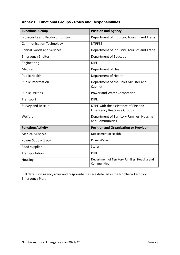#### <span id="page-24-0"></span>**Annex B: Functional Groups - Roles and Responsibilities**

| <b>Functional Group</b>                 | <b>Position and Agency</b>                                               |
|-----------------------------------------|--------------------------------------------------------------------------|
| <b>Biosecurity and Product Industry</b> | Department of Industry, Tourism and Trade                                |
| <b>Communication Technology</b>         | <b>NTPFES</b>                                                            |
| <b>Critical Goods and Services</b>      | Department of Industry, Tourism and Trade                                |
| <b>Emergency Shelter</b>                | Department of Education                                                  |
| Engineering                             | <b>DIPL</b>                                                              |
| Medical                                 | Department of Health                                                     |
| <b>Public Health</b>                    | Department of Health                                                     |
| <b>Public Information</b>               | Department of the Chief Minister and<br>Cabinet                          |
| <b>Public Utilities</b>                 | Power and Water Corporation                                              |
| Transport                               | <b>DIPL</b>                                                              |
| Survey and Rescue                       | NTPF with the assistance of Fire and<br><b>Emergency Response Groups</b> |
| Welfare                                 | Department of Territory Families, Housing<br>and Communities             |
| <b>Function/Activity</b>                | <b>Position and Organisation or Provider</b>                             |
| <b>Medical Services</b>                 | Department of Health                                                     |
| Power Supply (ESO)                      | PowerWater                                                               |
| Food supplier                           | <b>Stores</b>                                                            |
| Transportation                          | <b>DIPL</b>                                                              |
| Housing                                 | Department of Territory Families, Housing and<br>Communities             |

Full details on agency roles and responsibilities are detailed in the Northern Territory Emergency Plan.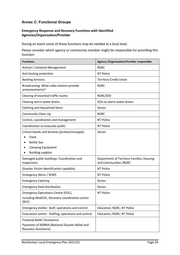#### <span id="page-25-0"></span>**Annex C: Functional Groups**

#### **Emergency Response and Recovery Functions with Identified Agencies/Organisation/Provider**

During an event some of these functions may be needed at a local level.

Please consider which agency or community member might be responsible for providing this function:

| <b>Functions</b>                                                                                                                    | <b>Agency / Organisation/Provider responsible</b>                   |
|-------------------------------------------------------------------------------------------------------------------------------------|---------------------------------------------------------------------|
| Animal / Livestock Management                                                                                                       | <b>RGRC</b>                                                         |
| Anti-looting protection                                                                                                             | <b>NT Police</b>                                                    |
| <b>Banking Services</b>                                                                                                             | <b>Territory Credit Union</b>                                       |
| Broadcasting: What radio stations provide<br>announcements?                                                                         | <b>RGRC</b>                                                         |
| Clearing of essential traffic routes                                                                                                | RGRC/DOI                                                            |
| Clearing storm water drains                                                                                                         | N/A no storm water drains                                           |
| Clothing and Household Items                                                                                                        | <b>Stores</b>                                                       |
| <b>Community Clean Up</b>                                                                                                           | <b>RGRC</b>                                                         |
| Control, coordination and management                                                                                                | <b>NT Police</b>                                                    |
| Coordination to evacuate public                                                                                                     | <b>NT Police</b>                                                    |
| Critical Goods and Services (protect/resupply)<br>Food<br><b>Bottle Gas</b><br><b>Camping Equipment</b><br><b>Building supplies</b> | <b>Stores</b>                                                       |
| Damaged public buildings: Coordination and<br>inspections                                                                           | Department of Territory Families, Housing<br>and Communities / RGRC |
| Disaster Victim Identification capability                                                                                           | <b>NT Police</b>                                                    |
| <b>Emergency Alerts / SEWS</b>                                                                                                      | <b>NT Police</b>                                                    |
| <b>Emergency Catering</b>                                                                                                           | <b>Stores</b>                                                       |
| <b>Emergency food distribution</b>                                                                                                  | <b>Stores</b>                                                       |
| Emergency Operations Centre (EOC),<br>including WebEOC, Recovery coordination centre<br>(RCC)                                       | <b>NT Police</b>                                                    |
| Emergency shelter. Staff, operations and control                                                                                    | Education, RGRC, NT Police                                          |
| Evacuation centre - Staffing, operations and control                                                                                | Education, RGRC, NT Police                                          |
| Financial Relief / Assistance                                                                                                       |                                                                     |
| Payments of NDRRA (National Disaster Relief and<br>Recovery Assistance)                                                             |                                                                     |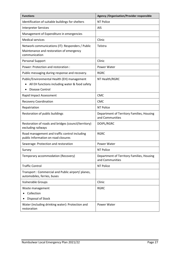| <b>Functions</b>                                                                                                        | <b>Agency / Organisation/Provider responsible</b>            |
|-------------------------------------------------------------------------------------------------------------------------|--------------------------------------------------------------|
| Identification of suitable buildings for shelters                                                                       | <b>NT Police</b>                                             |
| <b>Interpreter Services</b>                                                                                             | <b>AIS</b>                                                   |
| Management of Expenditure in emergencies                                                                                |                                                              |
| <b>Medical services</b>                                                                                                 | Clinic                                                       |
| Network communications (IT): Responders / Public<br>Maintenance and restoration of emergency<br>communication           | Telstra                                                      |
| Personal Support                                                                                                        | Clinic                                                       |
| Power: Protection and restoration :                                                                                     | Power Water                                                  |
| Public messaging during response and recovery.                                                                          | <b>RGRC</b>                                                  |
| Public/Environmental Health (EH) management<br>All EH functions including water & food safety<br><b>Disease Control</b> | NT Health/RGRC                                               |
| Rapid Impact Assessment                                                                                                 | <b>CMC</b>                                                   |
| <b>Recovery Coordination</b>                                                                                            | <b>CMC</b>                                                   |
| Repatriation                                                                                                            | <b>NT Police</b>                                             |
| Restoration of public buildings                                                                                         | Department of Territory Families, Housing<br>and Communities |
| Restoration of roads and bridges (council/territory)<br>excluding railways                                              | DOIPL/RGRC                                                   |
| Road management and traffic control including<br>public Information on road closures                                    | <b>RGRC</b>                                                  |
| Sewerage: Protection and restoration                                                                                    | Power Water                                                  |
| Survey                                                                                                                  | <b>NT Police</b>                                             |
| Temporary accommodation (Recovery)                                                                                      | Department of Territory Families, Housing<br>and Communities |
| <b>Traffic Control</b>                                                                                                  | NT Police                                                    |
| Transport: Commercial and Public airport/ planes,<br>automobiles, ferries, buses                                        |                                                              |
| <b>Vulnerable Groups</b>                                                                                                | Clinic                                                       |
| Waste management<br>Collection<br>Disposal of Stock                                                                     | <b>RGRC</b>                                                  |
| Water (including drinking water): Protection and<br>restoration                                                         | Power Water                                                  |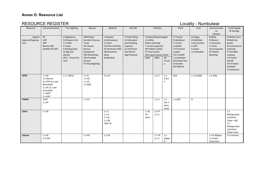#### **Annex D: Resource List**

## **RESOURCE REGISTER RESOURCE REGISTER LOCALITY RESOURCE REGISTER**

<span id="page-27-0"></span>

| Resource                          | Communications                                                                                                      | Fire Fighting                                                                                                             | Rescue                                                                                                                                    | Medical                                                                                                                         | Aircraft                                                                                                  |                                    | Vehicles                                                                                                          |                             | Plant                                                                                                                                           | Fuel                                                                            | Accommodati<br>on<br>/Shelter                                                                | Food Supply<br>& Storage                                                                                                                                   |
|-----------------------------------|---------------------------------------------------------------------------------------------------------------------|---------------------------------------------------------------------------------------------------------------------------|-------------------------------------------------------------------------------------------------------------------------------------------|---------------------------------------------------------------------------------------------------------------------------------|-----------------------------------------------------------------------------------------------------------|------------------------------------|-------------------------------------------------------------------------------------------------------------------|-----------------------------|-------------------------------------------------------------------------------------------------------------------------------------------------|---------------------------------------------------------------------------------|----------------------------------------------------------------------------------------------|------------------------------------------------------------------------------------------------------------------------------------------------------------|
| Legend<br>Agency/Organisa<br>tion | <b>HF</b><br>UHF<br><b>VHF</b><br>Marine (M)<br>Satellite Ph (SP)                                                   | A=Appliance<br>D=Dropon Unit<br>T=Trailer<br>F=Foam<br>E=Extinguisher<br>(4.5kg and<br>above)<br>GFU - Grass Fire<br>Unit | RAR=Road<br><b>Accident Rescue</b><br>Team<br>HE=Heavy<br>Rescue<br>Equipment<br>WS=Workshop<br>PG=Portable<br>Genset<br>FL=Floodlighting | =Hospital<br>A=Ambulance<br>C=Clinic<br>F/A=First Aid Kits<br>SF=Stretcher (fld)<br>SB=Stretcher-<br>(bsk)<br><b>B=Blankets</b> | F=Fixed Wing<br>H=Helicopter<br>(oo)=Seating<br>Capacity<br>(s)=Stretcher<br>$(w)$ =Winch<br>(kg)=Payload | U=Utility<br>FT=Fuel tanker<br>2WD | S=Sedan/Stationwagon<br>B=Bus (seating)<br>T=Truck (capacity)<br>WT=Water tanker<br>LW=Liquid waste tanker<br>4WD | All<br>Terrai<br>n          | T=Tractor<br>B=Bulldozer<br>C=Crane<br>(mobile)<br>F=Frontend<br>Loader<br>F/L=Forklift<br>L=Lowloader<br>B/H=Back hoe<br>G=Grader<br>BC=Bobcat | A=Avgas<br>D=Distillate<br>J=Jet aviation<br>$L = LPG$<br>S=Super<br>U=Unleaded | <b>B=Beds</b><br>R=Rooms<br>C=Caravans<br>T=Tents<br>Tp=Tarpaulins<br>Ps=Plastic<br>Sheeting | R=Retail store<br>B=Bulk dry<br>goods<br>K=Commercial<br>Catering<br>P=Portable<br>cooking<br>F=Freezer<br>(fixed)<br>Fm=Freezer<br>(mobile)<br>C=Coolroom |
| <b>NTPF</b>                       | 1xHF<br>2 x Marine<br>6 x VHF (2 x veh<br>Mounted)<br>$2 \times SP(1 \times veh)$<br>mounted)<br>1 x MDT<br>2 x UHF | $1 \times T$ (GFU)                                                                                                        | 1xFL<br>$1 \times PG$<br>$1 \times CS$<br>1 x RAR                                                                                         | 4 x FA                                                                                                                          |                                                                                                           |                                    | $2 \times U$                                                                                                      | 1x<br>4.5m<br>$\vee$        | N/A                                                                                                                                             | $2 \times D$ (20lt)                                                             | 1 x VOQ                                                                                      |                                                                                                                                                            |
| <b>PAWA</b>                       | 1xHF<br>1 x SP                                                                                                      |                                                                                                                           | $1 \times CS$                                                                                                                             |                                                                                                                                 |                                                                                                           |                                    | $1 \times U$                                                                                                      | 1x<br>4mV<br>(pers<br>onal) | $1 \times B/H$                                                                                                                                  | D                                                                               |                                                                                              |                                                                                                                                                            |
| Clinic                            | $1 \times SP$                                                                                                       |                                                                                                                           |                                                                                                                                           | $1 \times C$<br>1 x A<br>$1 \times SF$<br>$1 \times SB$<br>$100 \times B$                                                       |                                                                                                           | $1 \times B$<br>10<br>seats        | 1x TP<br>$2 \times U$                                                                                             |                             |                                                                                                                                                 |                                                                                 |                                                                                              | 1x<br>Refrigerated<br>container<br>$(1px - old)$<br>1x<br>Refrigerated<br>container<br>(5pax-new)                                                          |
| School                            | 1 x SP<br>2 X UHF                                                                                                   |                                                                                                                           | $1 \times PG$                                                                                                                             | 2xFA                                                                                                                            |                                                                                                           |                                    | 1xTP<br>3xU                                                                                                       | 1x<br>20pax<br>B            |                                                                                                                                                 |                                                                                 | 1 x R 300pax<br>1 x Fixed<br>Generator                                                       | 6 x Freezers                                                                                                                                               |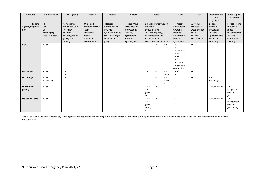| Resource                          | Communications                                                     | Fire Fighting                                                                                 | Rescue                                                                                       | Medical                                                                                                    | Aircraft                                                                                                  |                                                         | Vehicles                                                                                                   |                      | Plant                                                                                                                     | Fuel                                                                            | Accommodati<br>on<br>/Shelter                                                         | <b>Food Supply</b><br>& Storage                                                            |
|-----------------------------------|--------------------------------------------------------------------|-----------------------------------------------------------------------------------------------|----------------------------------------------------------------------------------------------|------------------------------------------------------------------------------------------------------------|-----------------------------------------------------------------------------------------------------------|---------------------------------------------------------|------------------------------------------------------------------------------------------------------------|----------------------|---------------------------------------------------------------------------------------------------------------------------|---------------------------------------------------------------------------------|---------------------------------------------------------------------------------------|--------------------------------------------------------------------------------------------|
| Legend<br>Agency/Organisa<br>tion | HF.<br><b>UHF</b><br><b>VHF</b><br>Marine (M)<br>Satellite Ph (SP) | A=Appliance<br>D=Dropon Unit<br>T=Trailer<br>F=Foam<br>E=Extinguisher<br>(4.5kg and<br>above) | RAR=Road<br><b>Accident Rescue</b><br>Team<br>HE=Heavy<br>Rescue<br>Equipment<br>WS=Workshop | =Hospital<br>A=Ambulance<br>C=Clinic<br>F/A=First Aid Kits<br>SF=Stretcher (fld)<br>SB=Stretcher-<br>(bsk) | F=Fixed Wing<br>H=Helicopter<br>(oo)=Seating<br>Capacity<br>(s)=Stretcher<br>$(w)$ =Winch<br>(kg)=Payload | U=Utility<br>FT=Fuel tanker                             | S=Sedan/Stationwagon<br>B=Bus (seating)<br>T=Truck (capacity)<br>WT=Water tanker<br>LW=Liquid waste tanker |                      | T=Tractor<br>B=Bulldozer<br>C=Crane<br>(mobile)<br>F=Frontend<br>Loader<br>F/L=Forklift                                   | A=Avgas<br>D=Distillate<br>J=Jet aviation<br>$L = LPG$<br>S=Super<br>U=Unleaded | B=Beds<br>R=Rooms<br>C=Caravans<br>T=Tents<br>Tp=Tarpaulins<br>Ps=Plastic<br>Sheeting | R=Retail store<br>B=Bulk dry<br>goods<br>K=Commercial<br>Catering<br>P=Portable<br>cooking |
| <b>RGRC</b>                       | $1 \times SP$                                                      |                                                                                               |                                                                                              |                                                                                                            |                                                                                                           |                                                         | 12x<br>U                                                                                                   | 1 x<br>WT            | 1xFL<br>$1 \times F$<br>1 x Concrete<br>Truck<br>$1 \times BH$<br>$1 \times G$<br>1 x slasher<br>1 x garbage<br>compactor | D                                                                               |                                                                                       |                                                                                            |
| <b>Homelands</b>                  | 2 x SP                                                             | $2 \times T$<br>$1 \times E$                                                                  | $1 \times CS$                                                                                |                                                                                                            |                                                                                                           | $1 \times T$                                            | $2 \times U$                                                                                               | 1x<br>4mV            | $1 \times F/L$<br>$1 \times T$                                                                                            | D                                                                               |                                                                                       |                                                                                            |
| <b>NLC Rangers</b>                | 1 x SP<br>$1 \times M/$ UHF                                        | $2 \times T$                                                                                  | $1 \times CS$                                                                                |                                                                                                            |                                                                                                           |                                                         | 3xU                                                                                                        | 1x<br>4.5m<br>$\vee$ |                                                                                                                           | D                                                                               | $8 \times T$<br>8 x Swags                                                             |                                                                                            |
| Numbirindi<br>(ALPA)              | 1 x SP                                                             |                                                                                               |                                                                                              |                                                                                                            |                                                                                                           | $1 \times U$<br>$1 \times T$<br>(flatb<br>ed)           | $1 \times U$                                                                                               |                      | 1xFL                                                                                                                      |                                                                                 | 1 x Generator                                                                         | 1 x<br>refrigerated<br>container<br>(10x5)                                                 |
| <b>Newtown Store</b>              | $1 \times SP$                                                      |                                                                                               |                                                                                              |                                                                                                            |                                                                                                           | $1 \times U$<br>$2 \times T$<br>(flatb<br>ed 6T,<br>8T) | $1 \times U$                                                                                               |                      | 1xFL                                                                                                                      |                                                                                 | 1 x Generator                                                                         | 1 x<br>Refrigerated<br>container<br>(6x2.4x2.6)                                            |

*Where Functional Groups are identified, those agencies are responsible for ensuring that a record of resources available during an event are completed and made available to the Local Controller during an event.* R=Retail store

*.*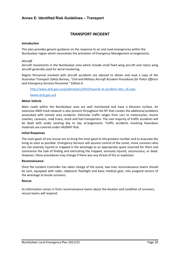#### <span id="page-29-0"></span>**Annex E: Identified Risk Guidelines – Transport**

#### **TRANSPORT INCIDENT**

#### *Introduction*

This plan provides generic guidance on the response to air and road emergencies within the Numbulwar region which necessitate the activation of Emergency Management arrangements.

#### *Aircraft*

Aircraft movements in the Numbulwar area which include small fixed wing aircraft and rotary wing aircraft generally used for aerial mustering.

Region Personnel involved with aircraft accidents are advised to obtain and read a copy of the Australian Transport Safety Bureau*, "Civil and Military Aircraft Accident Procedures for Police Officers and Emergency Services Personnel." Edition 6.*

[http://www.atsb.gov.au/publications/2014/hazards-at-accident-sites\\_v6.aspx](http://www.atsb.gov.au/publications/2014/hazards-at-accident-sites_v6.aspx)

[\(www.atsb.gov.au\)](http://www.atsb.gov.au/)

#### **Motor Vehicle**

Main roads within the Numbulwar area are well maintained and have a bitumen surface. An extensive 4WD track network is also present throughout the NT that creates the additional problems associated with remote area incidents. Vehicular traffic ranges from cars to motorcycles, tourist coaches, caravans, road trains, stock and fuel transporters. The vast majority of traffic accidents will be dealt with under existing day to day arrangements. Traffic accidents involving hazardous materials are covered under HAZMAT Risk.

#### **Initial Responses**

The main goals of any rescue are to bring the most good to the greatest number and to evacuate the living as soon as possible. Emergency Services will assume control of the scene, move survivors who are not severely injured or trapped in the wreckage to an appropriate space reserved for them and commence the task of finding and extricating the trapped, seriously injured, unconscious, or dead. However, these procedures may change if there was any threat of fire or explosion.

#### **Reconnaissance**

Once the Incident Controller has taken charge of the scene, two man reconnaissance teams should be sent, equipped with radio, clipboard, flashlight and basic medical gear, into assigned sectors of the wreckage to locate survivors.

#### **Rescue**

As information comes in from reconnaissance teams about the location and condition of survivors, rescue teams will respond.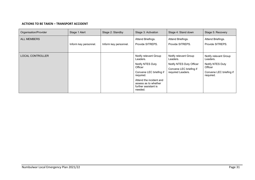#### **ACTIONS TO BE TAKEN – TRANSPORT ACCIDENT**

| Organisation/Provider   | Stage 1 Alert         | Stage 2: Standby      | Stage 3: Activation                                                                                                                                                                            | Stage 4: Stand down                                                                                           | Stage 5: Recovery                                                                                        |
|-------------------------|-----------------------|-----------------------|------------------------------------------------------------------------------------------------------------------------------------------------------------------------------------------------|---------------------------------------------------------------------------------------------------------------|----------------------------------------------------------------------------------------------------------|
| <b>ALL MEMBERS</b>      | Inform key personnel. | Inform key personnel. | Attend Briefings.<br>Provide SITREPS.                                                                                                                                                          | Attend Briefings.<br>Provide SITREPS.                                                                         | Attend Briefings.<br>Provide SITREPS.                                                                    |
| <b>LOCAL CONTROLLER</b> |                       |                       | Notify relevant Group<br>Leaders.<br>Notify NTES Duty<br>Officer<br>Convene LEC briefing if<br>required.<br>Attend the incident and<br>assess as to whether<br>further assistant is<br>needed. | Notify relevant Group<br>Leaders.<br>Notify NTES Duty Officer<br>Convene LEC briefing if<br>required Leaders. | Notify relevant Group<br>Leaders.<br>Notify NTES Duty<br>Officer<br>Convene LEC briefing if<br>required. |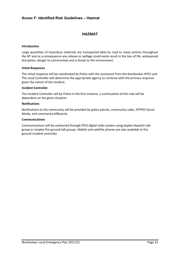#### <span id="page-31-0"></span>**Annex F: Identified Risk Guidelines – Hazmat**

#### **HAZMAT**

#### **Introduction**

Large quantities of hazardous materials are transported daily by road to many centres throughout the NT and as a consequence any release or spillage could easily result in the loss of life, widespread disruption, danger to communities and a threat to the environment.

#### **Initial Responses**

The initial response will be coordinated by Police with the assistance from the Numbulwar NTES unit. The Local Controller will determine the appropriate agency to continue with the primary response given the nature of the incident.

#### **Incident Controller**

The Incident Controller will be Police in the first instance, a continuation of this role will be dependent on the given situation.

#### **Notifications**

Notifications to the community will be provided by police patrols, community radio, NTPFES Social Media, and community billboards.

#### **Communications**

Communications will be conducted through PFES digital radio system using duplex dispatch talk group or simplex fire ground talk groups. Mobile and satellite phones are also available to fire ground incident controller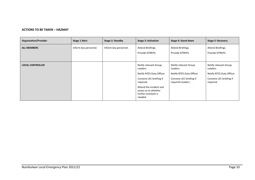#### **ACTIONS TO BE TAKEN – HAZMAT**

| <b>Organisation/Provider</b> | Stage 1 Alert         | Stage 2: Standby      | <b>Stage 3: Activation</b>                                                                                                                                                                  | Stage 4: Stand down                                                                                           | <b>Stage 5: Recovery</b>                                                                              |
|------------------------------|-----------------------|-----------------------|---------------------------------------------------------------------------------------------------------------------------------------------------------------------------------------------|---------------------------------------------------------------------------------------------------------------|-------------------------------------------------------------------------------------------------------|
| <b>ALL MEMBERS</b>           | Inform key personnel. | Inform key personnel. | Attend Briefings.<br>Provide SITREPS.                                                                                                                                                       | Attend Briefings.<br>Provide SITREPS.                                                                         | Attend Briefings.<br>Provide SITREPS.                                                                 |
| <b>LOCAL CONTROLLER</b>      |                       |                       | Notify relevant Group<br>Leaders.<br>Notify NTES Duty Officer<br>Convene LEC briefing if<br>required.<br>Attend the incident and<br>assess as to whether<br>further assistant is<br>needed. | Notify relevant Group<br>Leaders.<br>Notify NTES Duty Officer<br>Convene LEC briefing if<br>required Leaders. | Notify relevant Group<br>Leaders.<br>Notify NTES Duty Officer<br>Convene LEC briefing if<br>required. |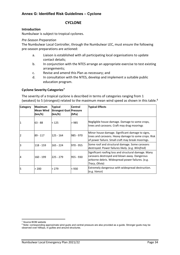#### <span id="page-33-0"></span>**Annex G: Identified Risk Guidelines – Cyclone**

#### **CYCLONE**

#### **Introduction**

Numbulwar is subject to tropical cyclones.

#### *Pre-Season Preparation*

The Numbulwar Local Controller, through the Numbulwar LEC, must ensure the following pre-season preparations are actioned:

- a. Liaison is established with all participating local organisations to update contact details;
- b. In conjunction with the NTES arrange an appropriate exercise to test existing arrangements;
- c. Revise and amend this Plan as necessary; and
- d. In consultation with the NTES, develop and implement a suitable public education program.

#### **Cyclone Severity Categories[7](#page-33-1)**

The severity of a tropical cyclone is described in terms of categories ranging from 1 (weakest) to 5 (strongest) related to the maximum mean wind speed as shown in this table.<sup>[8](#page-33-2)</sup>

| <b>Category</b> | Maximum<br>Mean Wind<br>(km/h) | <b>Typical</b><br><b>Strongest Gust Pressure</b><br>(km/h) | <b>Central</b><br>(hPa) | <b>Typical Effects</b>                                                                                                                                                      |
|-----------------|--------------------------------|------------------------------------------------------------|-------------------------|-----------------------------------------------------------------------------------------------------------------------------------------------------------------------------|
|                 | $63 - 88$                      | < 125                                                      | 985                     | Negligible house damage. Damage to some crops,<br>trees and caravans. Craft may drag moorings                                                                               |
| 2               | 89 - 117                       | $125 - 164$                                                | 985 - 970               | Minor house damage. Significant damage to signs,<br>trees and caravans. Heavy damage to some crops. Risk<br>of power failure. Small craft may break moorings.               |
| 3               | 118 - 159                      | 165 - 224                                                  | 970 - 955               | Some roof and structural damage. Some caravans<br>destroyed. Power failures likely. (e.g. Winifred)                                                                         |
| 14              | 160 - 199                      | 225 - 279                                                  | 955 - 930               | Significant roofing loss and structural damage. Many<br>caravans destroyed and blown away. Dangerous<br>airborne debris. Widespread power failures. (e.g.<br>Tracy, Olivia) |
| l5              | 200                            | > 279                                                      | < 930                   | Extremely dangerous with widespread destruction.<br>(e.g. Vance)                                                                                                            |

**<sup>.</sup>** <sup>7</sup> Source BOM website

<span id="page-33-2"></span><span id="page-33-1"></span><sup>&</sup>lt;sup>8</sup> Note: corresponding approximate wind gusts and central pressure are also provided as a guide. Stronger gusts may be observed over hilltops, in gullies and around structures.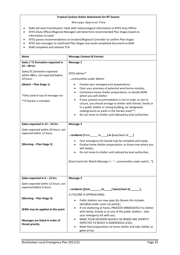#### **Tropical Cyclone Action Statements for NT Season**

*Message Approval Flow*

- BoM will send Coordination Table with meteorological information to NTES Duty Officer
- NTES (Duty Officer/Regional Manager) will determine recommended Plan Stages based on information to hand
- NTES passes recommendations to Incident/Regional Controller to confirm Plan Stages
- NTES sets messages to confirmed Plan Stages and sends completed document to BoM
- BoM completes and releases TCA

| <b>Notes</b>                                                                                | <b>Message Content &amp; Format:</b>                                                                                                                                                                                                                                                                                                                                                                                                                                                                             |
|---------------------------------------------------------------------------------------------|------------------------------------------------------------------------------------------------------------------------------------------------------------------------------------------------------------------------------------------------------------------------------------------------------------------------------------------------------------------------------------------------------------------------------------------------------------------------------------------------------------------|
| Gales / TC formation expected in<br>$24 - 48$ hrs                                           | <b>Message 1</b>                                                                                                                                                                                                                                                                                                                                                                                                                                                                                                 |
| Gales/TC formation expected<br>within 48hrs, not expected before<br>24 hours                | NTES advises*<br>communities under Watch:                                                                                                                                                                                                                                                                                                                                                                                                                                                                        |
| (Watch - Plan Stage 1)<br>*Only used at top of message run<br>** if Darwin is included      | Finalise your emergency kit preparations;<br>Clear your premises of potential wind borne missiles;<br>Commence home shelter preparations, or decide NOW<br>$\bullet$<br>where you will shelter;<br>If your present accommodation is not to code, or you're<br>$\bullet$<br>unsure, you should arrange to shelter with friends, family or<br>in a public shelter or strong building, [or designated<br>underground car parks in the Darwin area]**;<br>Do not move to shelter until advised by local authorities. |
| Gales expected in 12 - 24 hrs                                                               | <b>Message 2</b>                                                                                                                                                                                                                                                                                                                                                                                                                                                                                                 |
| Gales expected within 24 hours, not<br>expected within 12 hours<br>(Warning - Plan Stage 2) | residents [from_____ to____] or [east/west of___]<br>Your emergency kit should now be complete and ready;<br>Finalise home shelter preparations, or know now where you<br>$\bullet$<br>will shelter;<br>Do not move to shelter until advised by local authorities<br>[Insert point for Watch Message 1 - "communities under watch"]                                                                                                                                                                              |
| Gales expected in $6 - 12$ hrs                                                              | Message 3                                                                                                                                                                                                                                                                                                                                                                                                                                                                                                        |
| Gales expected within 12 hours, not<br>expected before 6 hours                              | residents [ <i>from</i> _<br>__] [west/east of __<br>$\_$ to $\_$                                                                                                                                                                                                                                                                                                                                                                                                                                                |
| (Warning - Plan Stage 3)                                                                    | A CYCLONE IS APPROACHING:<br>Public shelters are now open [in Darwin this includes<br>$\bullet$<br>identified under cover car parks];                                                                                                                                                                                                                                                                                                                                                                            |
| SEWS may be applied at this point                                                           | If not sheltering at home, PROCEED IMMEDIATELY to shelter<br>with family, friends or at one of the public shelters - take<br>your emergency kit with you;<br>MAKE YOUR DECISION QUICKLY AS WINDS ARE SHORTLY                                                                                                                                                                                                                                                                                                     |
| Messages are listed in order of<br>threat priority                                          | EXPECTED TO REACH A DANGEROUS LEVEL;<br>Make final preparations to home shelter and take shelter as<br>gales arrive;                                                                                                                                                                                                                                                                                                                                                                                             |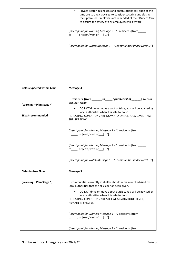|                             | Private Sector businesses and organisations still open at this<br>time are strongly advised to consider securing and closing<br>their premises. Employers are reminded of their Duty of Care<br>to ensure the safety of any employees still at work. |
|-----------------------------|------------------------------------------------------------------------------------------------------------------------------------------------------------------------------------------------------------------------------------------------------|
|                             | [Insert point for Warning Message 2 - " residents [from<br>to_____] or [east/west of____] "]                                                                                                                                                         |
|                             | [Insert point for Watch Message 1 - "communities under watch"]                                                                                                                                                                                       |
|                             |                                                                                                                                                                                                                                                      |
|                             |                                                                                                                                                                                                                                                      |
|                             |                                                                                                                                                                                                                                                      |
| Gales expected within 6 hrs | <b>Message 4</b>                                                                                                                                                                                                                                     |
| (Warning - Plan Stage 4)    | residents [from ________ to ______] [west/east of ________], to TAKE<br><b>SHELTER NOW</b>                                                                                                                                                           |
|                             | DO NOT drive or move about outside, you will be advised by<br>$\bullet$<br>local authorities when it is safe to do so                                                                                                                                |
| <b>SEWS recommended</b>     | REPEATING: CONDITIONS ARE NOW AT A DANGEROUS LEVEL, TAKE<br>SHELTER NOW                                                                                                                                                                              |
|                             | [Insert point for Warning Message 3 - " residents [from____<br>to $\Box$ or [east/west of $\Box$ "]                                                                                                                                                  |
|                             | [Insert point for Warning Message 2 - " residents [from<br>to _____] or [east/west of ____] "]                                                                                                                                                       |
|                             | [Insert point for Watch Message $1 -$ "communities under watch"]                                                                                                                                                                                     |
| <b>Gales in Area Now</b>    | <b>Message 5</b>                                                                                                                                                                                                                                     |
|                             |                                                                                                                                                                                                                                                      |
| (Warning - Plan Stage 5)    | communities currently in shelter should remain until advised by<br>local authorities that the all clear has been given.                                                                                                                              |
|                             | DO NOT drive or move about outside, you will be advised by<br>$\bullet$<br>local authorities when it is safe to do so.                                                                                                                               |
|                             | REPEATING: CONDITIONS ARE STILL AT A DANGEROUS LEVEL,<br>REMAIN IN SHELTER.                                                                                                                                                                          |
|                             | [Insert point for Warning Message 4 - " residents [from<br>to _____] or [east/west of ____] "]                                                                                                                                                       |
|                             | [Insert point for Warning Message 3 - " residents [from                                                                                                                                                                                              |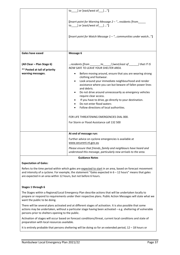|                                                                                  | to_____] or [east/west of____] "]<br>[Insert point for Warning Message 2 - " residents [from____<br>to_____] or [east/west of____] "]<br>[Insert point for Watch Message 1 - "communities under watch"]                                                                                                                                                                                                                                                                                                                                                                                                                                                                                                     |
|----------------------------------------------------------------------------------|-------------------------------------------------------------------------------------------------------------------------------------------------------------------------------------------------------------------------------------------------------------------------------------------------------------------------------------------------------------------------------------------------------------------------------------------------------------------------------------------------------------------------------------------------------------------------------------------------------------------------------------------------------------------------------------------------------------|
| Gales have eased                                                                 | Message 6                                                                                                                                                                                                                                                                                                                                                                                                                                                                                                                                                                                                                                                                                                   |
| (All Clear - Plan Stage 6)<br>** Posted at tail of priority<br>warning messages. | residents [from $\qquad \qquad$ to $\qquad$ ] [west/east of $\qquad$ ] that IT IS<br>NOW SAFE TO LEAVE YOUR SHELTER AREA.<br>Before moving around, ensure that you are wearing strong<br>$\bullet$<br>clothing and footwear.<br>Look around your immediate neighbourhood and render<br>$\bullet$<br>assistance where you can but beware of fallen power lines<br>and debris.<br>Do not drive around unnecessarily as emergency vehicles<br>require clear access.<br>If you have to drive, go directly to your destination.<br>Do not enter flood waters<br>$\bullet$<br>Follow directions of local authorities.<br>FOR LIFE THREATENING EMERGENCIES DIAL 000.<br>For Storm or Flood Assistance call 132 500 |
|                                                                                  | At end of message run:                                                                                                                                                                                                                                                                                                                                                                                                                                                                                                                                                                                                                                                                                      |
|                                                                                  | Further advice on cyclone emergencies is available at<br>www.securent.nt.gov.au                                                                                                                                                                                                                                                                                                                                                                                                                                                                                                                                                                                                                             |
|                                                                                  | Please ensure that friends, family and neighbours have heard and<br>understood this message, particularly new arrivals to the area.<br><b>Guidance Notes</b>                                                                                                                                                                                                                                                                                                                                                                                                                                                                                                                                                |

#### **Expectation of Gales:**

Refers to the time period within which gales are expected to start in an area, based on forecast movement and intensity of a cyclone. For example, the statement "Gales expected in 6 – 12 hours" means that gales are expected in an area within 12 hours, but not before 6 hours.

#### **Stages 1 through 6**

The Stages within a Regional/Local Emergency Plan describe actions that will be undertaken locally to prepare or respond to requirements under their respective plans. Public Action Messages will state what we want the public to be doing.

There will be several plans activated and at different stages of activation. It is also possible that some actions may be undertaken, without a particular stage having been activated – e.g. sheltering of vulnerable persons prior to shelters opening to the public.

Activation of stages will occur based on forecast conditions/threat, current local conditions and state of preparation with local resources available.

It is entirely probable that persons sheltering will be doing so for an extended period, 12 – 18 hours or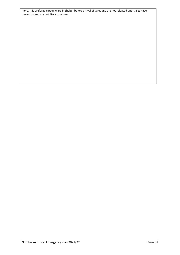more. It is preferable people are in shelter before arrival of gales and are not released until gales have moved on and are not likely to return.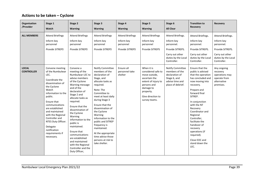## **Actions to be taken – Cyclone**

| Organisation<br>/Provider         | Stage 1<br>Watch                                                                                                                                                                                                                                                                                                                           | Stage 2<br><b>Warning</b>                                                                                                                                                                                                                                                                                                                                                                                                                    | Stage 3<br><b>Warning</b>                                                                                                                                                                                                                                                                                                                                                                               | Stage 4<br><b>Warning</b>                                             | Stage 5<br><b>Warning</b>                                                                                                                                                | Stage 6<br><b>All Clear</b>                                                                                                | <b>Transition to</b><br><b>Recovery</b>                                                                                                                                                                                                                                                                                                                                       | <b>Recovery</b>                                                                                                            |
|-----------------------------------|--------------------------------------------------------------------------------------------------------------------------------------------------------------------------------------------------------------------------------------------------------------------------------------------------------------------------------------------|----------------------------------------------------------------------------------------------------------------------------------------------------------------------------------------------------------------------------------------------------------------------------------------------------------------------------------------------------------------------------------------------------------------------------------------------|---------------------------------------------------------------------------------------------------------------------------------------------------------------------------------------------------------------------------------------------------------------------------------------------------------------------------------------------------------------------------------------------------------|-----------------------------------------------------------------------|--------------------------------------------------------------------------------------------------------------------------------------------------------------------------|----------------------------------------------------------------------------------------------------------------------------|-------------------------------------------------------------------------------------------------------------------------------------------------------------------------------------------------------------------------------------------------------------------------------------------------------------------------------------------------------------------------------|----------------------------------------------------------------------------------------------------------------------------|
| <b>ALL MEMBERS</b>                | <b>Attend Briefings</b><br>Inform key<br>personnel<br>Provide SITREPS                                                                                                                                                                                                                                                                      | <b>Attend Briefings</b><br>Inform key<br>personnel<br><b>Provide SITREPS</b>                                                                                                                                                                                                                                                                                                                                                                 | <b>Attend Briefings</b><br>Inform key<br>personnel<br><b>Provide SITREPS</b>                                                                                                                                                                                                                                                                                                                            | <b>Attend Briefings</b><br>Inform key<br>personnel<br>Provide SITREPS | <b>Attend Briefings</b><br>Inform key<br>personnel<br>Provide SITREPS                                                                                                    | Attend Briefings.<br>Inform key<br>personnel.<br>Provide SITREPS.<br>Carry out other<br>duties by the Local<br>Controller. | Attend Briefings.<br>Inform key<br>personnel.<br>Provide SITREPS.<br>Carry out other<br>duties by the Local<br>Controller.                                                                                                                                                                                                                                                    | Attend Briefings.<br>Inform key<br>personnel.<br>Provide SITREPS.<br>Carry out other<br>duties by the Local<br>Controller. |
| <b>LOCAL</b><br><b>CONTROLLER</b> | Convene meeting<br>of the Numbulwar<br>LEC.<br>Coordinate the<br>dissemination of<br>the Cyclone<br>Watch<br>information to the<br>public.<br>Ensure that<br>communications<br>are established<br>and maintained<br>with the Regional<br>Controller and<br>NTES Duty Officer.<br>Delegate<br>notification<br>requirements if<br>necessary. | Convene a<br>meeting of the<br>Numbulwar LEC to<br>advise members<br>of the Cyclone<br>Warning message<br>and of the<br>declaration of<br>Stage 2 and<br>allocate tasks as<br>required.<br>Ensure that the<br>dissemination of<br>the Cyclone<br>Warning<br>information to the<br>public is<br>maintained.<br>Ensure that<br>communications<br>are established<br>and maintained<br>with the Regional<br>Controller and the<br>Duty Officer, | Notify Committee<br>members of the<br>declaration of<br>Stage, and<br>allocate tasks as<br>required.<br>Note: The<br>Committee to<br>meet at least daily<br>during Stage 3<br>Ensure that the<br>dissemination of<br>the Cyclone<br>Warning<br>information to the<br>public and SITREP<br>frequency is<br>maintained.<br>At the appropriate<br>time advise those<br>persons at risk to<br>take shelter. | Ensure all<br>personnel take<br>shelter                               | When it is<br>considered safe to<br>move outside,<br>ascertain the<br>extent of injury to<br>persons and<br>damage to<br>property.<br>Give direction to<br>survey teams. | Notify Committee<br>members of the<br>declaration of<br>Stage 6, and<br>advise time and<br>place of debrief.               | Ensure that the<br>public is advised<br>that the operation<br>has concluded and<br>now moving into<br>recovery.<br>Prepare and<br>forward final<br>SITREP.<br>In conjunction<br>with the NT<br>Recovery<br>Coordinator and<br>Regional<br>Controller,<br>facilitate the<br>handover of<br>recovery<br>operations (if<br>required).<br>Close EOC and<br>stand down the<br>LEC. | Any ongoing<br>recovery<br>operations may<br>operate from<br>alternative<br>premises.                                      |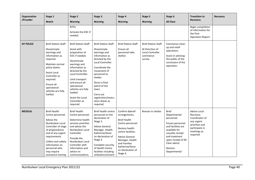| Organisation<br>/Provider | Stage 1<br>Watch                                                                                                                                                                                                                                        | Stage 2<br><b>Warning</b>                                                                                                                                                                                                                                                                                       | Stage 3<br><b>Warning</b>                                                                                                                                                                                                                                                                       | Stage 4<br><b>Warning</b>                                                                                                                                                                                                           | Stage 5<br><b>Warning</b>                                                                        | Stage 6<br><b>All Clear</b>                                                                                                                                                                                  | <b>Transition to</b><br><b>Recovery</b>                                                                                         | <b>Recovery</b> |
|---------------------------|---------------------------------------------------------------------------------------------------------------------------------------------------------------------------------------------------------------------------------------------------------|-----------------------------------------------------------------------------------------------------------------------------------------------------------------------------------------------------------------------------------------------------------------------------------------------------------------|-------------------------------------------------------------------------------------------------------------------------------------------------------------------------------------------------------------------------------------------------------------------------------------------------|-------------------------------------------------------------------------------------------------------------------------------------------------------------------------------------------------------------------------------------|--------------------------------------------------------------------------------------------------|--------------------------------------------------------------------------------------------------------------------------------------------------------------------------------------------------------------|---------------------------------------------------------------------------------------------------------------------------------|-----------------|
|                           |                                                                                                                                                                                                                                                         | NTES.<br>Activate the EOC if<br>needed.                                                                                                                                                                                                                                                                         |                                                                                                                                                                                                                                                                                                 |                                                                                                                                                                                                                                     |                                                                                                  |                                                                                                                                                                                                              | Begin compilation<br>of information for<br>the Post<br>Operation Report.                                                        |                 |
| <b>NT POLICE</b>          | <b>Brief Station Staff.</b><br>Disseminate<br>warnings and<br>information as<br>required.<br>Maintain normal<br>police duties.<br><b>Assist Local</b><br>Controller as<br>required.<br>Ensure all<br>operational<br>vehicles are fully<br>fuelled.      | <b>Brief Station Staff.</b><br>Assist with<br>preparation of<br>EOC if needed.<br>Disseminate<br>warnings and<br>information as<br>directed by the<br>Local Controller.<br>Limit transport<br>and ensure all<br>operational<br>vehicles are fully<br>fuelled.<br>Assist the Local<br>Controller as<br>required. | <b>Brief Station Staff.</b><br>Disseminate<br>warnings and<br>information as<br>directed by the<br>Local Controller.<br>Coordinate the<br>movement of<br>personnel to<br>shelter<br>Direct a final<br>patrol of the<br>town.<br>Carry out<br>registration/evacu<br>ation duties as<br>required. | <b>Brief Station Staff.</b><br>Ensure all<br>personnel take<br>shelter.                                                                                                                                                             | <b>Brief Station Staff.</b><br>At Direction of<br><b>Local Controller</b><br>commence<br>survey. | Commence clean<br>up and relief<br>operations.<br>Assist in advising<br>the public of the<br>conclusion of the<br>operation.                                                                                 |                                                                                                                                 |                 |
| <b>MEDICAL</b>            | <b>Brief Health</b><br>Centre personnel.<br>Advise the<br>Numbulwar Local<br>Controller of stage<br>of preparedness<br>and of any urgent<br>requirements.<br>Collect and collate<br>information on<br>personnel who<br>may require<br>assistance moving | <b>Brief Health</b><br>Centre personnel.<br>Determine health<br>services priorities<br>and advise the<br>Numbulwar Local<br>Controller.<br>Provide the<br>Numbulwar Local<br>Controller with<br>information and<br>advice on<br>communications,                                                                 | <b>Brief health centre</b><br>personnel on the<br>declaration of<br>Stage 3.<br><b>Advise General</b><br>Manager, Health<br>Katherine/Gove<br>on declaration of<br>Stage 3.<br>Complete security<br>of Health Centre<br>facilities including<br>ambulance/essent                                | Confirm debrief<br>arrangements.<br><b>Brief Health</b><br>Centre personnel.<br>Restore health<br>centre facilities.<br><b>Advise General</b><br>Manager, Health<br>and Families<br>Katherine/Gove<br>on declaration of<br>Stage 4. | Remain in shelter                                                                                | <b>Brief</b><br>Departmental<br>personnel.<br>Ensure personnel<br>and facilities are<br>available for<br>casualty receipt<br>and treatment<br>upon receipt of All<br>Clear advice<br>Restore<br>Departmental | <b>Advise Local</b><br>Recovery<br>Coordinator of<br>any urgent<br>priorities and<br>participate in<br>meetings as<br>required. |                 |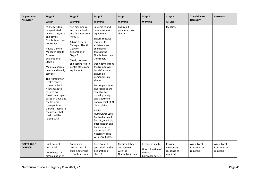| Organisation<br>/Provider           | Stage 1<br>Watch                                                                                                                                                                                                                                                                                                                                                                                                                                                                        | Stage 2<br><b>Warning</b>                                                                                                                                                                                                               | Stage 3<br><b>Warning</b>                                                                                                                                                                                                                                                                                                                                                                                                                                                                                                                                                                           | Stage 4<br><b>Warning</b>                                      | Stage 5<br><b>Warning</b>                                                 | Stage 6<br><b>All Clear</b>                      | <b>Transition to</b><br><b>Recovery</b>           | <b>Recovery</b>                                   |
|-------------------------------------|-----------------------------------------------------------------------------------------------------------------------------------------------------------------------------------------------------------------------------------------------------------------------------------------------------------------------------------------------------------------------------------------------------------------------------------------------------------------------------------------|-----------------------------------------------------------------------------------------------------------------------------------------------------------------------------------------------------------------------------------------|-----------------------------------------------------------------------------------------------------------------------------------------------------------------------------------------------------------------------------------------------------------------------------------------------------------------------------------------------------------------------------------------------------------------------------------------------------------------------------------------------------------------------------------------------------------------------------------------------------|----------------------------------------------------------------|---------------------------------------------------------------------------|--------------------------------------------------|---------------------------------------------------|---------------------------------------------------|
|                                     | to shelters (e.g.<br>incapacitated,<br>wheelchairs, etc)<br>and advise<br>Numbulwar Local<br>Controller.<br>Advise General<br>Manager, Health<br>Gove on<br>declaration of<br>Stage 1.<br>Maintain normal<br>health and family<br>services.<br>The Numbulwar<br>Health centre<br>comes under East<br>Arnhem South -<br>as Such my<br>District manager is<br>based in Gove and<br>my General<br>manager is in<br>Darwin. These are<br>the people that<br>Health will be<br>liaising with | first aid, medical<br>and public health<br>and family service<br>matters.<br><b>Advise General</b><br>Manager, Health<br>Gove on<br>declaration of<br>Stage 2.<br>Check, prepare<br>and secure Health<br>Centre stores and<br>equipment | ial vehicles and<br>communications<br>equipment.<br>Ensure that ALL<br>requests for<br>assistance are<br>channelled<br>through the<br>Numbulwar Local<br>Controller.<br>Upon advice from<br>the Numbulwar<br><b>Local Controller</b><br>ensure all<br>personnel take<br>shelter.<br>Ensure personnel<br>and facilities are<br>available for<br>casualty receipt<br>and treatment<br>upon receipt of All<br>Clear advice.<br>Advise<br>Numbulwar Local<br>Controller on all<br>first aid/medical,<br>public health and<br>family services<br>matters and if<br>necessary liaise<br>with Care Flight. | Ensure all<br>personnel take<br>shelter                        |                                                                           | facilities.                                      |                                                   |                                                   |
| <b>ROPER GULF</b><br><b>COUNCIL</b> | <b>Brief Council</b><br>personnel.<br>Coordinate the<br>dissemination of                                                                                                                                                                                                                                                                                                                                                                                                                | Commence<br>preparation of<br>buildings for use<br>as public cyclone                                                                                                                                                                    | <b>Brief Council</b><br>personnel on the<br>declaration of<br>Stage 3.                                                                                                                                                                                                                                                                                                                                                                                                                                                                                                                              | Confirm debrief<br>arrangements<br>with the<br>Numbulwar Local | Remain in shelter.<br>Upon direction of<br>the Local<br>Controller advise | Provide<br>emergency<br>response as<br>required. | <b>Assist Local</b><br>Controller as<br>required. | <b>Assist Local</b><br>Controller as<br>required. |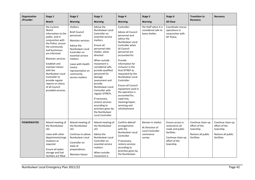| Organisation<br>/Provider | Stage 1<br>Watch                                                                                                                                                                                                                                                                                                                                      | Stage 2<br><b>Warning</b>                                                                                                                                                                                                                     | Stage 3<br><b>Warning</b>                                                                                                                                                                                                                                                                                                                                                                                                                                | Stage 4<br><b>Warning</b>                                                                                                                                                                                                                                                                                                                                                                                                                 | Stage 5<br><b>Warning</b>                                                        | Stage 6<br><b>All Clear</b>                                                                                               | <b>Transition to</b><br><b>Recovery</b>                                              | <b>Recovery</b>                                                                      |
|---------------------------|-------------------------------------------------------------------------------------------------------------------------------------------------------------------------------------------------------------------------------------------------------------------------------------------------------------------------------------------------------|-----------------------------------------------------------------------------------------------------------------------------------------------------------------------------------------------------------------------------------------------|----------------------------------------------------------------------------------------------------------------------------------------------------------------------------------------------------------------------------------------------------------------------------------------------------------------------------------------------------------------------------------------------------------------------------------------------------------|-------------------------------------------------------------------------------------------------------------------------------------------------------------------------------------------------------------------------------------------------------------------------------------------------------------------------------------------------------------------------------------------------------------------------------------------|----------------------------------------------------------------------------------|---------------------------------------------------------------------------------------------------------------------------|--------------------------------------------------------------------------------------|--------------------------------------------------------------------------------------|
|                           | the Cyclone<br>Watch<br>information to the<br>public, and in<br>conjunction with<br>the Police, ensure<br>the community<br>and businesses<br>are informed.<br>Maintain services.<br>Establish and<br>maintain liaison<br>with the<br>Numbulwar Local<br>Controller to<br>provide regular<br>reports on status<br>of all Council<br>provided services. | shelters.<br><b>Brief Council</b><br>personnel.<br>Maintain services.<br>Advise the<br>Numbulwar Local<br>Controller on<br>essential service<br>matters.<br>Liaise with Health<br>Centre<br>representative on<br>community<br>service matters | Advise the<br>Numbulwar Local<br>Controller on<br>essential service<br>matters.<br>Ensure all<br>personnel take<br>shelter, when<br>directed.<br>When outside<br>movement is<br>considered safe,<br>provide qualified<br>personnel for<br>damage<br>assessment and<br>provide<br>Numbulwar Local<br>Controller with<br>regular SITREPs.<br>If necessary,<br>restore services<br>according to<br>priorities given by<br>the Numbulwar<br>Local Controller | Controller.<br>Advise all Council<br>personnel and<br>advice the<br>Numbulwar Local<br>Controller when<br>all Council<br>personnel are<br>accounted for.<br>Provide<br>information for<br>inclusion in the<br>final SITREP as<br>requested by the<br>Numbulwar Local<br>Controller.<br>Ensure all Council<br>equipment used in<br>the operation is<br>accounted for,<br>supervise,<br>cleaning/repair,<br>servicing and<br>refurbishment. | the Staff when it is<br>considered safe to<br>leave shelter.                     | Coordinate rescue<br>operations in<br>conjunction with<br>NT Police.                                                      |                                                                                      |                                                                                      |
| <b>POWERWATER</b>         | Attend meeting of<br>the Numbulwar<br><b>LEC</b><br>Liaise with other<br>departments/orga<br>nisations as<br>required.<br>Ensure all water<br>storage and fuel<br>facilities are filled                                                                                                                                                               | Attend meeting of<br>the Numbulwar<br><b>LEC</b><br>Continue to advise<br>Numbulwar Local<br>Controller on<br>state of<br>preparedness.<br>Maintain liaison                                                                                   | Attend meeting of<br>the Numbulwar<br><b>LEC</b><br>Advise the<br>Numbulwar Local<br>Controller on<br>essential service<br>matters.<br>When outside<br>movement is                                                                                                                                                                                                                                                                                       | Confirm debrief<br>arrangements<br>with the<br>Numbulwar Local<br>Controller.<br>If necessary,<br>restore services<br>according to<br>priorities given by<br>the Numbulwar                                                                                                                                                                                                                                                                | Remain in shelter.<br>At Direction of<br>Local Controller<br>commence<br>survey. | Ensure access is<br>restored to all<br>roads and public<br>facilities.<br>Continue clean-up<br>effort of the<br>township. | Continue clean-up<br>effort of the<br>township.<br>Restore all public<br>facilities. | Continue clean-up<br>effort of the<br>township.<br>Restore all public<br>facilities. |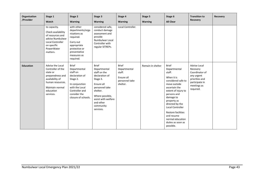| Organisation<br>/Provider | Stage 1<br>Watch                                                                                                                                          | Stage 2<br><b>Warning</b>                                                                                                                                           | Stage 3<br><b>Warning</b>                                                                                                                                                                               | Stage 4<br><b>Warning</b>                                                          | Stage 5<br><b>Warning</b> | Stage 6<br><b>All Clear</b>                                                                                                                                                                                                                                                                                           | <b>Transition to</b><br><b>Recovery</b>                                                                                  | <b>Recovery</b> |
|---------------------------|-----------------------------------------------------------------------------------------------------------------------------------------------------------|---------------------------------------------------------------------------------------------------------------------------------------------------------------------|---------------------------------------------------------------------------------------------------------------------------------------------------------------------------------------------------------|------------------------------------------------------------------------------------|---------------------------|-----------------------------------------------------------------------------------------------------------------------------------------------------------------------------------------------------------------------------------------------------------------------------------------------------------------------|--------------------------------------------------------------------------------------------------------------------------|-----------------|
|                           | to capacity.<br>Check availability<br>of resources and<br>advise Numbulwar<br><b>Local Controller</b><br>on specific<br>PowerWater<br>matters.            | with other<br>departments/orga<br>nisations as<br>required.<br>Carry out<br>appropriate<br>protective or<br>preventative<br>measures as<br>required.                | considered safe,<br>conduct damage<br>assessment and<br>provide<br>Numbulwar Local<br>Controller with<br>regular SITREPs.                                                                               | Local Controller.                                                                  |                           |                                                                                                                                                                                                                                                                                                                       |                                                                                                                          |                 |
| <b>Education</b>          | Advise the Local<br>Controller of the<br>state or<br>preparedness and<br>availability of<br>human resources.<br>Maintain normal<br>education<br>services. | <b>Brief</b><br>Departmental<br>staff on<br>declaration of<br>Stage 2.<br>In conjunction<br>with the Local<br>Controller and<br>consider the<br>closure of schools. | <b>Brief</b><br>Departmental<br>staff on the<br>declaration of<br>Stage 3.<br>Ensure all<br>personnel take<br>shelter.<br>Where possible,<br>assist with welfare<br>and other<br>community<br>services. | <b>Brief</b><br>Departmental<br>staff.<br>Ensure all<br>personnel take<br>shelter. | Remain in shelter         | <b>Brief</b><br>Departmental<br>staff.<br>When it is<br>considered safe to<br>move outside<br>ascertain the<br>extent of injury to<br>persons and<br>damage to<br>property as<br>directed by the<br>Local Controller<br><b>Restore facilities</b><br>and resume<br>normal education<br>duties as soon as<br>possible. | Advise Local<br>Recovery<br>Coordinator of<br>any urgent<br>priorities and<br>participate in<br>meetings as<br>required. |                 |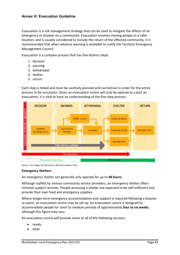#### <span id="page-43-0"></span>**Annex H: Evacuation Guideline**

Evacuation is a risk management strategy that can be used to mitigate the effects of an emergency or disaster on a community. Evacuation involves moving people to a safer location, and is usually considered to include the return of the affected community. It is recommended that when advance warning is available to notify the Territory Emergency Management Council.

Evacuation is a complex process that has five distinct steps:

- 1. decision
- 2. warning
- 3. withdrawal
- 4. shelter
- 5. return.

Each step is linked and must be carefully planned and carried out in order for the entire process to be successful. Given an evacuation centre will only be opened as a part an evacuation, it is vital to have an understanding of the five-step process.



*Source: Five stages of Evacuation, Qld Government, 2011.*

#### **Emergency Shelters**

An emergency shelter can generally only operate for up to **48 hours.**

Although staffed by various community service providers, an emergency shelter offers minimal support services. People accessing a shelter are expected to be self-sufficient and provide their own food and emergency supplies.

Where longer-term emergency accommodation and support is required following a disaster or event, an evacuation centre may be set up. An evacuation centre is designed to accommodate people for short to medium periods of approximately **four to six weeks**, although this figure may vary.

An evacuation centre will provide some or all of the following services:

- meals
- beds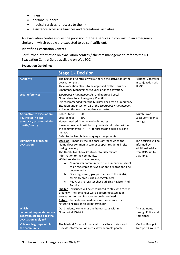- linen
- personal support
- medical services (or access to them)
- assistance accessing finances and recreational activities

An evacuation centre implies the provision of these services in contrast to an emergency shelter, in which people are expected to be self-sufficient.

#### **Identified Evacuation Centres**

For further information on evacuation centres / shelters management, refer to the NT Evacuation Centre Guide available on WebEOC.

#### **Evacuation Guidelines**

|                                                                                                           | <b>Stage 1 - Decision</b>                                                                                                                                                                                                                                                                                                                                                                                                                                                                                                                                                                                                                                                                                                                                                                                                                                                                              |                                                                                          |
|-----------------------------------------------------------------------------------------------------------|--------------------------------------------------------------------------------------------------------------------------------------------------------------------------------------------------------------------------------------------------------------------------------------------------------------------------------------------------------------------------------------------------------------------------------------------------------------------------------------------------------------------------------------------------------------------------------------------------------------------------------------------------------------------------------------------------------------------------------------------------------------------------------------------------------------------------------------------------------------------------------------------------------|------------------------------------------------------------------------------------------|
| <b>Authority</b>                                                                                          | The Regional Controller will authorise the activation of the<br>evacuation plan.<br>This evacuation plan is to be approved by the Territory<br>Emergency Management Council prior to activation.                                                                                                                                                                                                                                                                                                                                                                                                                                                                                                                                                                                                                                                                                                       | Regional Controller<br>in conjunction with<br><b>TEMC</b>                                |
| <b>Legal references</b>                                                                                   | <b>Emergency Management Act and approved Local</b><br>Numbulwar Local Emergency Plan (LEP).<br>It is recommended that the Minister declares an Emergency<br>Situation under section 18 of the Emergency Management<br>Act when this evacuation plan is activated.                                                                                                                                                                                                                                                                                                                                                                                                                                                                                                                                                                                                                                      |                                                                                          |
| <b>Alternative to evacuation?</b><br>I.e. shelter in place,<br>temporary accommodation<br>on-site/nearby. | <b>Police Station</b><br>50<br>Local School<br>300<br>Houses marked 'S' or newly built houses<br>If needed residents will be progressively relocated within<br>the community to $\langle \rangle$ > for pre staging post a cyclone<br>impact.<br>Refer to the Numbulwar staging arrangements.                                                                                                                                                                                                                                                                                                                                                                                                                                                                                                                                                                                                          | Numbulwar<br>Local Controller to<br>arrange.                                             |
| <b>Summary of proposed</b><br>evacuation                                                                  | Decision - made by the Regional Controller when the<br>Numbulwar community cannot support residents in situ<br>during recovery.<br>The Numbulwar Local Controller to disseminate<br>information to the community.<br>Withdrawal - four stage process;<br>Numbulwar community to the Numbulwar School<br>a.<br>to be registered for evacuation to <location be<br="" to="">determined&gt;;<br/>Once registered, groups to move to the airstrip<br/>b.<br/>assembly area using buses/vehicles;<br/>Red Cross to register check utilising Register Find<br/>c.<br/>Reunite.<br/>Shelter - evacuees will be encouraged to stay with friends<br/>or family. The remainder will be accommodated at an<br/>evacuation centre <location be="" determined="" to=""><br/>Return - to be determined once recovery can sustain<br/>return to <location be="" determined="" to=""></location></location></location> | The decision will be<br>informed by<br>additional advice<br>from BOM up to<br>that time. |
| <b>Which</b><br>communities/outstations or<br>geographical area does the<br>evacuation apply to?          | Out Stations, Homelands and homesteads within<br>Numburindi District                                                                                                                                                                                                                                                                                                                                                                                                                                                                                                                                                                                                                                                                                                                                                                                                                                   | Arrangements<br>through Police and<br>Homelands                                          |
| <b>Vulnerable groups within</b><br>the community                                                          | The Medical Group will liaise with local health staff and<br>provide information on medically vulnerable people.                                                                                                                                                                                                                                                                                                                                                                                                                                                                                                                                                                                                                                                                                                                                                                                       | Medical Group &<br>Transport Group to                                                    |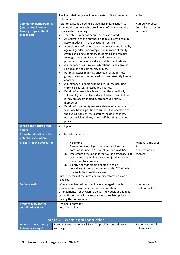|                                                                                                   | The Identified people will be evacuated <at a="" be<br="" time="" to="">determined&gt;.</at>                                                                                                                                                                                                                                                                                                                                                                                                                                                                                                                                                                                                                                                                                                                                                                                                                                                                                                                                                                                                                                                                                                                                                                                                                                                                                                                       | action.                                                         |
|---------------------------------------------------------------------------------------------------|--------------------------------------------------------------------------------------------------------------------------------------------------------------------------------------------------------------------------------------------------------------------------------------------------------------------------------------------------------------------------------------------------------------------------------------------------------------------------------------------------------------------------------------------------------------------------------------------------------------------------------------------------------------------------------------------------------------------------------------------------------------------------------------------------------------------------------------------------------------------------------------------------------------------------------------------------------------------------------------------------------------------------------------------------------------------------------------------------------------------------------------------------------------------------------------------------------------------------------------------------------------------------------------------------------------------------------------------------------------------------------------------------------------------|-----------------------------------------------------------------|
| <b>Community demographics</b><br>(approx. total number,<br>family groups, cultural<br>groups etc) | Refer to Evacuation Centre Guidelines p.21 (section 4.2)<br>Examine the demographic breakdown of the community to<br>be evacuated including<br>The total number of people being evacuated.<br>$\bullet$<br>An estimate of the number of people likely to require<br>$\bullet$<br>accommodation in the evacuation centre.<br>A breakdown of the evacuees to be accommodated by<br>$\bullet$<br>age and gender. For example, the number of family<br>groups and single persons, adult males and females,<br>teenage males and females, and the number of<br>primary school-aged children, toddlers and infants.<br>A summary of cultural considerations, family groups,<br>$\bullet$<br>skin groups and community groups.<br>Potential issues that may arise as a result of these<br>$\bullet$<br>groups being accommodated in close proximity to one<br>another.<br>A summary of people with health issues, including<br>٠<br>chronic diseases, illnesses and injuries.<br>Details of vulnerable clients (other than medically<br>٠<br>vulnerable), such as the elderly, frail and disabled (and<br>if they are accompanied by support i.e.: family<br>members)<br>Details of community workers also being evacuated<br>$\bullet$<br>who may be in a position to support the operation of<br>the evacuation centre. Examples include teachers,<br>nurses, health workers, shire staff, housing staff and<br>police. | Numbulwar Local<br>Controller to obtain<br>information.         |
| What is the nature of the<br>hazard?                                                              | Cyclone<br>$\bullet$                                                                                                                                                                                                                                                                                                                                                                                                                                                                                                                                                                                                                                                                                                                                                                                                                                                                                                                                                                                                                                                                                                                                                                                                                                                                                                                                                                                               |                                                                 |
| <b>Estimated duration of the</b><br>potential evacuation?                                         | <to be="" determined=""></to>                                                                                                                                                                                                                                                                                                                                                                                                                                                                                                                                                                                                                                                                                                                                                                                                                                                                                                                                                                                                                                                                                                                                                                                                                                                                                                                                                                                      |                                                                 |
| <b>Triggers for the evacuation</b>                                                                | <example<br>Evacuation planning to commence when the<br/>1.<br/>Location is under a "Tropical Cyclone Watch".<br/>Implement evacuation if the Cyclone category is at<br/>2.<br/>severe and impact has caused major damage and<br/>disruption to all services.<br/>Elderly and vulnerable people are to be<br/>3.<br/>considered for evacuation during the "TC Watch"<br/>due to limited health services.&gt;<br/>Further details of the intra-community relocation plan are<br/>required.</example<br>                                                                                                                                                                                                                                                                                                                                                                                                                                                                                                                                                                                                                                                                                                                                                                                                                                                                                                             | <b>Regional Controller</b><br>&<br>NTES to confirm<br>triggers. |
| <b>Self-evacuation</b>                                                                            | Where possible residents will be encouraged to self-<br>evacuate and make their own accommodation<br>arrangements if they wish to do so. Individuals and families<br>taking this option will be encouraged to register prior to<br>leaving the community.                                                                                                                                                                                                                                                                                                                                                                                                                                                                                                                                                                                                                                                                                                                                                                                                                                                                                                                                                                                                                                                                                                                                                          | Numbulwar<br>Local Controller                                   |
| <b>Responsibility for the</b><br>coordination Stage 1                                             | Regional Controller<br>Local Controller                                                                                                                                                                                                                                                                                                                                                                                                                                                                                                                                                                                                                                                                                                                                                                                                                                                                                                                                                                                                                                                                                                                                                                                                                                                                                                                                                                            |                                                                 |
|                                                                                                   | <b>Stage 2 - Warning of Evacuation</b>                                                                                                                                                                                                                                                                                                                                                                                                                                                                                                                                                                                                                                                                                                                                                                                                                                                                                                                                                                                                                                                                                                                                                                                                                                                                                                                                                                             |                                                                 |
| Who has the authority<br>to issue warnings?                                                       | Bureau of Meteorology will issue Tropical Cyclone advice and<br>warnings.                                                                                                                                                                                                                                                                                                                                                                                                                                                                                                                                                                                                                                                                                                                                                                                                                                                                                                                                                                                                                                                                                                                                                                                                                                                                                                                                          | <b>Regional Controller</b><br>to liaise with                    |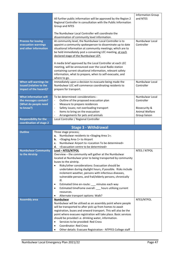| Regional Controller in consultation with the Public Information<br>Group and NTES<br>The Numbulwar Local Controller will coordinate the<br>dissemination of community level information. |  |
|------------------------------------------------------------------------------------------------------------------------------------------------------------------------------------------|--|
|                                                                                                                                                                                          |  |
|                                                                                                                                                                                          |  |
| <b>Process for issuing</b><br>At community level, the Numbulwar Local Controller is to<br>Numbulwar Local                                                                                |  |
| evacuation warnings<br>appoint a community spokesperson to disseminate up to date<br>Controller<br>and other information                                                                 |  |
| situational information at community meetings; which are to<br>be held immediately post a convening LEC meeting, at each                                                                 |  |
| declared stage of the Numbulwar LEP.                                                                                                                                                     |  |
|                                                                                                                                                                                          |  |
| A media brief approved by the Local Controller at each LEC                                                                                                                               |  |
| meeting, will be announced over the Local Radio station<br>containing current situational information, relevant safety                                                                   |  |
| information, what to prepare, when to self-evacuate, and                                                                                                                                 |  |
| where to go.                                                                                                                                                                             |  |
| When will warnings be<br>Immediately upon a decision to evacuate being made the<br>Numbulwar Local                                                                                       |  |
| issued (relative to the<br>Numbulwar LEC will commence coordinating residents to<br>Controller                                                                                           |  |
| impact of the hazard)?<br>prepare for transport.                                                                                                                                         |  |
| <b>What information will</b><br>Numbulwar Local<br>To be determined: considerations -                                                                                                    |  |
| the messages contain?<br>Outline of the proposed evacuation plan<br>Controller<br>$\qquad \qquad \blacksquare$                                                                           |  |
| (What do people need<br>Measure to prepare residences<br>$\overline{\phantom{a}}$                                                                                                        |  |
| to know?)<br>Safety issues; not overloading transport<br>Biosecurity &                                                                                                                   |  |
| Animal Welfare<br>Items to bring on the evacuation<br>$\overline{\phantom{a}}$                                                                                                           |  |
| Arrangements for pets and animals<br>Group liaison<br><b>Responsibility for the</b><br>Local Controller / Regional Controller                                                            |  |
| coordination of stage 2                                                                                                                                                                  |  |
| <b>Stage 3 - Withdrawal</b>                                                                                                                                                              |  |
| <b>Outline</b><br>Three stage process;                                                                                                                                                   |  |
| Numbulwar residents to <staging 1="" area="">;<br/>a.</staging>                                                                                                                          |  |
| <staging 1="" area=""> to Airport<br/>b.</staging>                                                                                                                                       |  |
| Numbulwar Airport to <location be="" determined="" to=""><br/>c.</location>                                                                                                              |  |
| <evacuation be="" centre="" determined="" to=""><br/>d.<br/>NTES / NTPOL<br/><b>Numbulwar Community</b><br/>Lead - NTES/NTPOL</evacuation>                                               |  |
| Overview - the community will gather at the Numbulwar<br>to the Airstrip                                                                                                                 |  |
| located at Numbulwar prior to being transported by community                                                                                                                             |  |
| buses to the airstrip.                                                                                                                                                                   |  |
|                                                                                                                                                                                          |  |
| Risks/other considerations: Evacuation should be                                                                                                                                         |  |
| undertaken during daylight hours, if possible. Risks include                                                                                                                             |  |
| inclement weather, persons with infectious diseases,                                                                                                                                     |  |
| vulnerable persons, and frail/elderly persons, chronically<br>ill.                                                                                                                       |  |
| Estimated time en-route: __ minutes each way<br>٠                                                                                                                                        |  |
| Estimated timeframe overall: __ hours utilising current<br>$\bullet$                                                                                                                     |  |
| resources.                                                                                                                                                                               |  |
| Alternate transport options: Walk?<br>٠                                                                                                                                                  |  |
| NTES/NTPOL<br><b>Assembly area</b><br><b>Numbulwar</b>                                                                                                                                   |  |
| Numbulwar will be utilised as an assembly point where people                                                                                                                             |  |
| will be transported to after pick up from homes to await<br>registration, buses and onward transport. This will also be the                                                              |  |
| point where evacuee registration will take place. Basic services                                                                                                                         |  |
| should be provided i.e. drinking water, information.                                                                                                                                     |  |
| Services to be provided: Red Cross<br>$\bullet$<br><b>Coordinator: Red Cross</b><br>$\bullet$                                                                                            |  |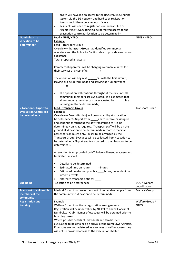|                                                                          | onsite will have log on access to the Register.Find.Reunite                                                               |                        |
|--------------------------------------------------------------------------|---------------------------------------------------------------------------------------------------------------------------|------------------------|
|                                                                          | system via the 3G network and hard copy registration                                                                      |                        |
|                                                                          | forms should there be a network failure.                                                                                  |                        |
|                                                                          | Residents will need to register at Numbulwar Club or<br>$\bullet$                                                         |                        |
|                                                                          | Airport if (self-evacuating) to be permitted access to the                                                                |                        |
|                                                                          | evacuation centre at <location be="" determined="" to=""></location>                                                      |                        |
| <b>Numbulwar to</b>                                                      | Lead - NTES/NTPOL                                                                                                         | NTES / NTPOL           |
| <location be<="" th="" to=""><th><b>Example</b></th><th></th></location> | <b>Example</b>                                                                                                            |                        |
| determined>                                                              | Lead - Transport Group                                                                                                    |                        |
|                                                                          | Overview - Transport Group has identified commercial                                                                      |                        |
|                                                                          | operators and the Police Air Section able to provide evacuation                                                           |                        |
|                                                                          | assistance.                                                                                                               |                        |
|                                                                          | Total proposed air assets: __________.                                                                                    |                        |
|                                                                          |                                                                                                                           |                        |
|                                                                          | Commercial operators will be charging commercial rates for                                                                |                        |
|                                                                          | their services at a cost of $(\xi$ ____________.                                                                          |                        |
|                                                                          |                                                                                                                           |                        |
|                                                                          | The operation will begin at ________ hrs with the first aircraft,                                                         |                        |
|                                                                          | leaving <to be="" determined=""> and arriving at Numbulwar at</to>                                                        |                        |
|                                                                          | hrs.                                                                                                                      |                        |
|                                                                          |                                                                                                                           |                        |
|                                                                          | The operation will continue throughout the day until all<br>$\bullet$                                                     |                        |
|                                                                          | community members are evacuated. It is estimated that                                                                     |                        |
|                                                                          | all community member can be evacuated by ________hrs                                                                      |                        |
|                                                                          | (arriving in <to be="" determined="">).</to>                                                                              |                        |
| < Location > Airport to                                                  | <b>Lead - Transport Group</b>                                                                                             | <b>Transport Group</b> |
| <b>Evacuation Centre <to< b=""></to<></b>                                | <b>Example</b>                                                                                                            |                        |
| be determined>                                                           | Overview - Buses (Buslink) will be on standby at <location th="" to<=""><th></th></location>                              |                        |
|                                                                          | be determined> Airport from ______ am to receive passengers                                                               |                        |
|                                                                          | and continue throughout the day transferring to <to be<="" th=""><th></th></to>                                           |                        |
|                                                                          | determined> only, as required. Transport staff will be on the                                                             |                        |
|                                                                          | ground at <location be="" determined="" to=""> Airport to marshal</location>                                              |                        |
|                                                                          | passengers on buses only. Buses to be arranged by the                                                                     |                        |
|                                                                          | Transport Group. Evacuees will be collected from <location th="" to<=""><th></th></location>                              |                        |
|                                                                          | be determined> Airport and transported to the <location be<="" th="" to=""><th></th></location>                           |                        |
|                                                                          | determined>.                                                                                                              |                        |
|                                                                          |                                                                                                                           |                        |
|                                                                          | A reception team provided by NT Police will meet evacuees and                                                             |                        |
|                                                                          | facilitate transport.                                                                                                     |                        |
|                                                                          |                                                                                                                           |                        |
|                                                                          | Details: to be determined<br>$\bullet$                                                                                    |                        |
|                                                                          | Estimated time en-route: ____ minutes<br>$\bullet$                                                                        |                        |
|                                                                          | Estimated timeframe: possibly ____ hours, dependant on<br>$\bullet$                                                       |                        |
|                                                                          | aircraft arrivals.                                                                                                        |                        |
|                                                                          | Alternate transport options:<br>٠                                                                                         |                        |
| <b>End point</b>                                                         | <location be="" determined="" to=""></location>                                                                           | EOC / Welfare          |
|                                                                          |                                                                                                                           | coordination           |
| <b>Transport of vulnerable</b>                                           | Medical Group to arrange transport of vulnerable people from                                                              | <b>Medical Group</b>   |
| members of the                                                           | the community to <location be="" determined="" to="">.</location>                                                         |                        |
| community                                                                |                                                                                                                           |                        |
| <b>Registration and</b>                                                  | Example                                                                                                                   | Welfare Group /        |
| tracking                                                                 | Welfare Group to activate registration arrangements.                                                                      | <b>NTPOL</b>           |
|                                                                          | Registration will be undertaken by NT Police and will occur at                                                            |                        |
|                                                                          | Numbulwar Club. Names of evacuees will be obtained prior to                                                               |                        |
|                                                                          | boarding buses.                                                                                                           |                        |
|                                                                          | Where possible details of individuals and families self-                                                                  |                        |
|                                                                          | evacuating to be obtained on arrival at the Numbulwar Airstrip.                                                           |                        |
|                                                                          |                                                                                                                           |                        |
|                                                                          |                                                                                                                           |                        |
|                                                                          | If persons are not registered as evacuees or self-evacuees they<br>will not be provided access to the evacuation shelter. |                        |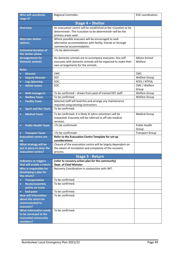| <b>Who will coordinate</b><br>stage 3?              | Regional Controller.                                                                                                                                                                        | EOC coordination.               |
|-----------------------------------------------------|---------------------------------------------------------------------------------------------------------------------------------------------------------------------------------------------|---------------------------------|
|                                                     | Stage 4 - Shelter                                                                                                                                                                           |                                 |
| <b>Overview</b>                                     | An evacuation centre will be established at the <location be<br="" to="">determined&gt;. The <location be="" determined="" to=""> will be the<br/>primary areas used.</location></location> |                                 |
| <b>Alternate shelter</b><br>options.                | Where possible evacuees will be encouraged to seek<br>alternative accommodation with family, friends or through<br>commercial accommodation.                                                |                                 |
| <b>Estimated duration of</b><br>the shelter phase   | <to be="" determined="">.</to>                                                                                                                                                              |                                 |
| <b>Arrangements for</b><br>domestic animals         | No domestic animals are to accompany evacuees. Any self-<br>evacuees with domestic animals will be expected to make their<br>own arrangements for the animals.                              | <b>Advise Animal</b><br>Welfare |
| <b>Roles</b>                                        |                                                                                                                                                                                             |                                 |
| <b>Director</b><br>$\bullet$                        | <b>CMC</b>                                                                                                                                                                                  | <b>CMC</b>                      |
| <b>Deputy Director</b><br>$\bullet$                 | <b>DCF</b>                                                                                                                                                                                  | <b>Welfare Group</b>            |
| Log./planning<br>$\bullet$                          | EOC.                                                                                                                                                                                        | NTES / NTPOL                    |
| <b>Admin teams</b><br>$\bullet$                     | EOC                                                                                                                                                                                         | CMC / Welfare<br>Group          |
| <b>Shift manager/s</b>                              | To be confirmed - drawn from pool of trained DCF staff.                                                                                                                                     | <b>Welfare Group</b>            |
| <b>Welfare Team</b><br>$\bullet$                    | To be confirmed                                                                                                                                                                             | <b>Welfare Group</b>            |
| <b>Facility Team</b><br>$\bullet$                   | Selected staff will lead this and arrange any maintenance<br>required using existing contractors.                                                                                           |                                 |
| <b>Sport and Rec Team</b><br>$\bullet$              | To be confirmed                                                                                                                                                                             |                                 |
|                                                     |                                                                                                                                                                                             |                                 |
| <b>Medical Team</b><br>$\bullet$                    | To be confirmed. It is likely St Johns volunteers will be<br>requested. Evacuees will be referred to off-site medical<br>services.                                                          | <b>Medical Group</b>            |
| <b>Public Health Team</b><br>$\bullet$              | <to be="" confirmed=""></to>                                                                                                                                                                | <b>Public Health</b><br>Group   |
| <b>Transport Team</b><br>$\bullet$                  | <to be="" confirmed=""></to>                                                                                                                                                                | <b>Transport Group</b>          |
| <b>Evacuation centre set-</b>                       | Refer to the Evacuation Centre Template for set-up                                                                                                                                          |                                 |
| <b>up</b>                                           | considerations                                                                                                                                                                              |                                 |
| What strategy will be                               | Closure of the evacuation centre will be largely dependent on                                                                                                                               |                                 |
| put in place to close the                           | the extent of inundation and complexity of the recovery                                                                                                                                     |                                 |
| evacuation centre?                                  | process.                                                                                                                                                                                    |                                 |
|                                                     | <b>Stage 5 - Return</b>                                                                                                                                                                     |                                 |
| <b>Indicators or triggers</b>                       | (refer to recovery action plan for the community)                                                                                                                                           |                                 |
| that will enable a return<br>Who is responsible for | <b>Dept. of Chief Minister</b><br>Recovery Coordination in conjunction with IMT.                                                                                                            |                                 |
| developing a plan for<br>the return?                |                                                                                                                                                                                             |                                 |
| <b>Transportation</b><br>$\bullet$                  | To be confirmed.                                                                                                                                                                            |                                 |
| Route/assembly<br>$\bullet$                         | To be confirmed.                                                                                                                                                                            |                                 |
| points en-route                                     |                                                                                                                                                                                             |                                 |
| <b>End point</b>                                    | To be confirmed.                                                                                                                                                                            |                                 |
| <b>How will information</b>                         | To be confirmed.                                                                                                                                                                            |                                 |
| about the return be                                 |                                                                                                                                                                                             |                                 |
| communicated to<br>evacuees?                        |                                                                                                                                                                                             |                                 |
| <b>What information needs</b>                       | To be confirmed.                                                                                                                                                                            |                                 |
| to be conveyed to the                               |                                                                                                                                                                                             |                                 |
| evacuated community                                 |                                                                                                                                                                                             |                                 |
| members?                                            |                                                                                                                                                                                             |                                 |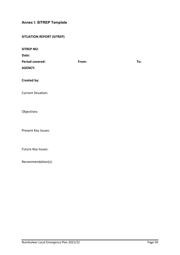### <span id="page-49-0"></span>**Annex I: SITREP Template**

| <b>SITREP NO:</b>      |       |     |
|------------------------|-------|-----|
| Date:                  |       |     |
| <b>Period covered:</b> | From: | To: |
| <b>AGENCY:</b>         |       |     |
|                        |       |     |
| Created by:            |       |     |
|                        |       |     |

Current Situation:

Objectives:

Present Key Issues:

Future Key Issues:

Recommendation(s):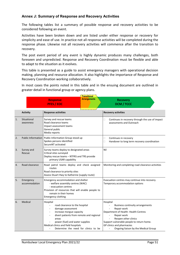#### <span id="page-50-0"></span>**Annex J: Summary of Response and Recovery Activities**

The following tables list a summary of possible response and recovery activities to be considered following an event.

Activities have been broken down and are listed under either response or recovery for simplicity and ease of use. In practice not all response activities will be completed during the response phase. Likewise not all recovery activities will commence after the transition to recovery.

The post event period of any event is highly dynamic produces many challenges, both foreseen and unpredicted. Response and Recovery Coordination must be flexible and able to adapt to the situation as it evolves.

This table is presented as a guide to assist emergency managers with operational decision making, planning and resource allocation. It also highlights the importance of Response and Recovery Coordination working collaboratively.

In most cases the points noted in this table and in the ensuing document are outlined in greater detail in functional group or agency plans.

| Transitional |                            |                                                                                                                                                                                                                                                                    |                     |          |                                                                                                                                                                                                                                                        |
|--------------|----------------------------|--------------------------------------------------------------------------------------------------------------------------------------------------------------------------------------------------------------------------------------------------------------------|---------------------|----------|--------------------------------------------------------------------------------------------------------------------------------------------------------------------------------------------------------------------------------------------------------|
|              |                            | <b>Response</b><br><b>PFES / EOC</b>                                                                                                                                                                                                                               | <b>Arrangements</b> |          | <b>Recovery</b><br><b>DCM / TCCC</b>                                                                                                                                                                                                                   |
|              | <b>Activity</b>            | <b>Response activities</b>                                                                                                                                                                                                                                         |                     |          | <b>Recovery activities</b>                                                                                                                                                                                                                             |
| 1.           | Situational<br>awareness   | Survey and rescue teams<br>Road clearance teams<br>Impact assessment teams<br>General public<br>Media reports                                                                                                                                                      |                     | u        | Continues in recovery through the use of impact<br>assessments and Outreach                                                                                                                                                                            |
| 2.           | <b>Public Information</b>  | Public Information Group stood up<br>Spokes persons identified<br>SecureNT activated                                                                                                                                                                               |                     | □<br>□   | Continues in recovery<br>Handover to long term recovery coordination                                                                                                                                                                                   |
| 3.           | Survey and<br>Rescue       | Survey teams deploy to designated areas<br>Critical sites surveyed<br>Deploy rescue teams - NTFRS and TRS provide<br>primary USAR capability                                                                                                                       |                     | Nil      |                                                                                                                                                                                                                                                        |
| 4.           | Road clearance             | Road patrol teams deploy and check assigned<br>routes<br>Road clearance to priority sites<br>Assess Stuart Hwy to Katherine (supply route)                                                                                                                         |                     |          | Monitoring and completing road clearance activities                                                                                                                                                                                                    |
| 5.           | Emergency<br>accommodation | Emergency accommodation and shelter<br>- welfare assembly centres (WAC)<br>- evacuation centres<br>Provision of resources that will enable people to<br>remain in their homes<br><b>Emergency clothing</b>                                                         |                     |          | Evacuation centres may continue into recovery.<br>Temporary accommodation options                                                                                                                                                                      |
| 6.           | Medical                    | Hospital<br>road clearance to the hospital<br>damage assessment<br>increase morgue capacity<br>divert patients from remote and regional<br>areas<br>power (fuel) and water supplies<br>Medical clinics and field hospitals<br>Determine the need for clinics to be |                     | Hospital | <b>Business continuity arrangements</b><br>Repair work<br>Department of Health-Health Centres<br>Repair work<br>Reopen other clinics<br>Support vulnerable people to return home.<br>GP clinics and pharmacies<br>Ongoing liaison by the Medical Group |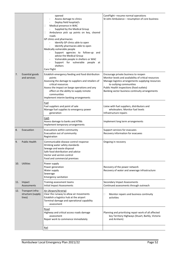|     |                                                 | opened<br>Assess damage to clinics<br>Deploy field hospital/s<br>Medical presence in WAC<br>0<br>Supplied by the Medical Group<br>Ambulance pick up points on key, cleared<br>Ц<br>roads<br>GP clinics and pharmacies<br>Identify GP clinics able to open<br>Identify pharmacies able to open<br>Medically vulnerable people<br>Support agencies to follow-up and<br>advise the Medical Group<br>Vulnerable people in shelters or WAC<br>Support for vulnerable people at<br>shelters<br>Care Flight | CareFlight - resume normal operations<br>St John Ambulance - resumption of core business                                                                                                                                                                                                                                     |
|-----|-------------------------------------------------|------------------------------------------------------------------------------------------------------------------------------------------------------------------------------------------------------------------------------------------------------------------------------------------------------------------------------------------------------------------------------------------------------------------------------------------------------------------------------------------------------|------------------------------------------------------------------------------------------------------------------------------------------------------------------------------------------------------------------------------------------------------------------------------------------------------------------------------|
| 7.  | <b>Essential goods</b><br>and services          | Establish emergency feeding and food distribution<br>points<br>Assessing the damage to suppliers and retailers of<br>critical resources<br>Assess the impact on barge operations and any<br>effect on the ability to supply remote<br>communities<br>Implement interim banking arrangements<br>Fuel<br>Fuel suppliers and point of sale                                                                                                                                                              | Encourage private business to reopen<br>Monitor levels and availability of critical resources<br>Manage logistics arrangements supplying resources<br>to outlying communities<br>Public Health inspections (food outlets)<br>Banking sector business continuity arrangements<br>Liaise with fuel suppliers, distributors and |
|     |                                                 | Manage fuel supplies to emergency power<br>generation                                                                                                                                                                                                                                                                                                                                                                                                                                                | wholesalers. Monitor fuel levels<br>Infrastructure repairs                                                                                                                                                                                                                                                                   |
|     |                                                 | Cash<br>Assess damage to banks and ATMs<br>Implement temporary arrangements                                                                                                                                                                                                                                                                                                                                                                                                                          | Implement long term arrangements                                                                                                                                                                                                                                                                                             |
| 8.  | Evacuation                                      | Evacuations within community<br>Evacuation out of community<br>Registration                                                                                                                                                                                                                                                                                                                                                                                                                          | Support services for evacuees<br>Recovery information for evacuees                                                                                                                                                                                                                                                           |
| 9.  | <b>Public Health</b>                            | Communicable disease control response<br>Drinking water safety standards<br>Sewage and waste disposal<br>Safe food distribution and advice<br>Vector and vermin control<br>Food and commercial premises                                                                                                                                                                                                                                                                                              | Ongoing in recovery                                                                                                                                                                                                                                                                                                          |
| 10. | <b>Utilities</b>                                | Power supply<br>Power generation<br>Water supply<br>Sewerage<br><b>Emergency sanitation</b>                                                                                                                                                                                                                                                                                                                                                                                                          | Recovery of the power network<br>Recovery of water and sewerage infrastructure                                                                                                                                                                                                                                               |
| 11. | Impact<br>Assessments                           | Training assessment teams<br><b>Initial Impact Assessments</b>                                                                                                                                                                                                                                                                                                                                                                                                                                       | Secondary Impact Assessments<br>Continued assessments through outreach                                                                                                                                                                                                                                                       |
| 12. | Transport infra-<br>structure (supply<br>lines) | Air (Airport/Airstrip)<br>Clear the runway to allow air movements<br>Establish a logistics hub at the airport<br>Terminal damage and operational capability<br>assessment                                                                                                                                                                                                                                                                                                                            | Monitor repairs and business continuity<br>□<br>activities                                                                                                                                                                                                                                                                   |
|     |                                                 | Road<br>Highway and critical access roads damage<br>assessment<br>Repair work to commence immediately                                                                                                                                                                                                                                                                                                                                                                                                | Planning and prioritising repair work of all affected<br>key Territory Highways (Stuart, Barkly, Victoria<br>and Arnhem)                                                                                                                                                                                                     |
|     |                                                 | Rail                                                                                                                                                                                                                                                                                                                                                                                                                                                                                                 |                                                                                                                                                                                                                                                                                                                              |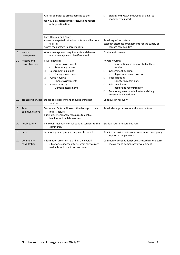|     |                               | Ask rail operator to assess damage to the                                                                                                                                                                                     | Liaising with GWA and Australasia Rail to<br>$\Box$                                                                                                                                                                                                                                                                    |
|-----|-------------------------------|-------------------------------------------------------------------------------------------------------------------------------------------------------------------------------------------------------------------------------|------------------------------------------------------------------------------------------------------------------------------------------------------------------------------------------------------------------------------------------------------------------------------------------------------------------------|
|     |                               | railway & associated infrastructure and report<br>outage estimation                                                                                                                                                           | monitor repair work                                                                                                                                                                                                                                                                                                    |
|     |                               | Port, Harbour and Barge<br>Assess damage to Port infrastructure and harbour<br>facilities<br>Assess the damage to barge facilities                                                                                            | Repairing infrastructure<br>Establish alternate arrangements for the supply of<br>remote communities                                                                                                                                                                                                                   |
| 13. | Waste<br>management           | Waste management requirements and develop<br>waste management plan if required                                                                                                                                                | Continues in recovery                                                                                                                                                                                                                                                                                                  |
| 14. | Repairs and<br>reconstruction | Private housing<br><b>Impact Assessments</b><br>Temporary repairs<br>Government buildings<br>□<br>Damage assessment<br><b>Public Housing</b><br>□<br><b>Impact Assessments</b><br>Private Industry<br>□<br>Damage assessments | Private housing<br>Information and support to facilitate<br>repairs.<br>Government buildings<br>□<br>Repairs and reconstruction<br><b>Public Housing</b><br>□<br>Long term repair plans<br>Private Industry<br>□<br>Repair and reconstruction<br>Temporary accommodation for a visiting<br>□<br>construction workforce |
| 15. | <b>Transport Services</b>     | Staged re-establishment of public transport<br>services                                                                                                                                                                       | Continues in recovery                                                                                                                                                                                                                                                                                                  |
| 16. | Tele-<br>communications       | Telstra and Optus will assess the damage to their<br>infrastructure<br>Put in place temporary measures to enable<br>landline and mobile services                                                                              | Repair damage networks and infrastructure                                                                                                                                                                                                                                                                              |
| 17. | Public safety                 | Police will maintain normal policing services to the<br>community                                                                                                                                                             | Gradual return to core business                                                                                                                                                                                                                                                                                        |
|     | 18. Pets                      | Temporary emergency arrangements for pets.                                                                                                                                                                                    | Reunite pets with their owners and cease emergency<br>support arrangements                                                                                                                                                                                                                                             |
|     | 19. Community<br>consultation | Information provision regarding the overall<br>situation, response efforts, what services are<br>available and how to access them                                                                                             | Community consultation process regarding long term<br>recovery and community development                                                                                                                                                                                                                               |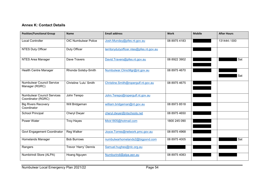#### **Annex K: Contact Details**

<span id="page-53-0"></span>

| <b>Position/Functional Group</b>                        | <b>Name</b>                 | <b>Email address</b>                     | <b>Work</b>  | <b>Mobile</b> | <b>After Hours</b> |
|---------------------------------------------------------|-----------------------------|------------------------------------------|--------------|---------------|--------------------|
| <b>Local Controller</b>                                 | <b>OIC Numbulwar Police</b> | Josh.Munday@pfes.nt.gov.au               | 08 8975 4183 |               | 131444 / 000       |
| <b>NTES Duty Officer</b>                                | Duty Officer                | territorydutyofficer.ntes@pfes.nt.gov.au |              |               |                    |
| NTES Area Manager                                       | Dave Travers                | David.Travers@pfes.nt.gov.au             | 08 8922 3902 |               | Sat                |
| <b>Health Centre Manager</b>                            | Rhonda Golsby-Smith         | Numbulwar.ClinicMgr@nt.gov.au            | 08 8975 4670 |               | Sat                |
| <b>Numbulwar Council Service</b><br>Manager (RGRC)      | Christine 'Lulu' Smith      | Christine.Smith@ropergulf.nt.gov.au      | 08 8975 4675 |               |                    |
| <b>Numbulwar Council Services</b><br>Coordinator (RGRC) | John Terepo                 | John.Terepo@ropergulf.nt.gov.au          |              |               |                    |
| <b>Big Rivers Recovery</b><br>Coordinator               | Will Bridgeman              | william.bridgeman@nt.gov.au              | 08 8973 8518 |               |                    |
| School Principal                                        | Cheryl Dwyer                | cheryl.dwyer@ntschools.net               | 08 8975 4650 |               |                    |
| <b>Power Water</b>                                      | <b>Troy Hayes</b>           | Mick1805@hotmail.com                     | 1800 245 090 |               |                    |
| Govt Engagement Coordinator                             | Reg Walker                  | Joyce.Torres@network.pmc.gov.au          | 08 8975 4968 |               |                    |
| Homelands Manager                                       | <b>Bob Burrows</b>          | numbulwarhomelands2@bigpond.com          | 08 8975 4005 |               | Sat                |
| Rangers                                                 | Trevor 'Harry' Dennis       | Samuel.hughes@nlc.org.au                 |              |               |                    |
| Numbirindi Store (ALPA)                                 | Hoang Nguyen                | Numburindi@alpa.asn.au                   | 08 8975 4083 |               |                    |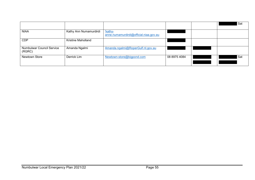|                                            |                        |                                                          |              | Sat |
|--------------------------------------------|------------------------|----------------------------------------------------------|--------------|-----|
| <b>NIAA</b>                                | Kathy Ann Numamurdirdi | <u>'kathy-</u><br>anne.numamurdirdi@official.niaa.gov.au |              |     |
| <b>CDP</b>                                 | Kristine Maholland     |                                                          |              |     |
| <b>Numbulwar Council Service</b><br>(RGRC) | Amanda Ngalmi          | Amanda.ngalmi@RoperGulf.nt.gov.au                        |              |     |
| <b>Newtown Store</b>                       | Derrick Lim            | Newtown-store@bigpond.com                                | 08 8975 4084 | Sat |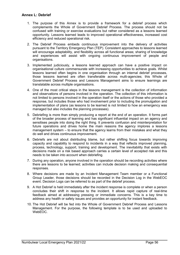- <span id="page-55-0"></span>1. The purpose of this Annex is to provide a framework for a debrief process which complements the Whole of Government Debrief Process. The process should not be confused with training or exercise evaluations but rather considered as a lessons learned opportunity. Lessons learned leads to improved operational effectiveness, increased cost efficiency and reduced operational risk.
- 2. The Debrief Process embeds continuous improvement into the delivery of activities pursuant to the Territory Emergency Plan (TEP). Consistent approaches to lessons learned will encourage adaptability, and flexibility across all functional areas; sharing of knowledge and experiences will assist with ongoing continuous improvement of people and organisations.
- 3. Implemented judiciously, a lessons learned approach can have a positive impact on organisational culture commensurate with increasing opportunities to achieve goals. Whilst lessons learned often begins in one organisation through an internal debrief processes, those lessons learned are often transferable across multi-agencies; this Whole of Government Debrief Process and Lessons Management aims to ensure learnings are translatable across multiple organisations.
- 4. One of the most critical steps in the lessons management is the collection of information and observations of persons involved in the operation. The collection of this information is not limited to persons involved in the operation itself or the actions of those who provided a response, but includes those who had involvement prior to including the promulgation and implementation of plans (as lessons to be learned is not limited to how an emergency was managed but also includes the planning processes).
- 5. Debriefing is more than simply producing a report at the end of an operation. It forms part of the broader process of learning and has significant influential impact on an agency and sensitises people into doing the right thing. It prevents confusion and misinterpretation for future operations and drives home the main reasons the agency implores a lessons management system – to ensure that the agency learns from their mistakes and what they do well and drives continuous improvement.
- 6. Debriefs are not about distributing blame, but rather shifting focus towards improving capacity and capability to respond to incidents in a way that reflects improved planning, process, technology, support, training and development. The inevitability that exists with decisions made on a risk based approach carries a certain level of accepted risk and this needs to be taken into account when debriefing.
- 7. During any operation, anyone involved in the operation should be recording activities where there are lessons to be learned; activities can include decision making and consequential responses.
- 8. Where decisions are made by an Incident Management Team member or a Functional Group Leader, those decisions should be recorded in the Decision Log in the WebEOC event. Decision Logs can be referred to as part of the debrief process.
- 9. A Hot Debrief is held immediately after the incident response is complete or when a person concludes their shift in response to the incident. It allows rapid capture of real-time feedback aimed at addressing pressing or immediate concerns. This is a key time to address any health or safety issues and provides an opportunity for instant feedback.
- 10. The Hot Debrief will be fed into the Whole of Government Debrief Process and Lessons Management. For the purpose, the following template is to be used and uploaded to WebEOC.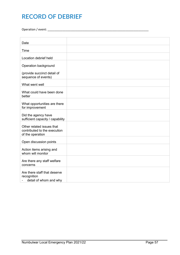## **RECORD OF DEBRIEF**

Operation / event: \_\_\_\_\_\_\_\_\_\_\_\_\_\_\_\_\_\_\_\_\_\_\_\_\_\_\_\_\_\_\_\_\_\_\_\_\_\_\_\_\_\_\_\_\_\_\_\_\_\_\_\_\_\_\_\_\_\_\_\_\_

| Date                                                                          |  |
|-------------------------------------------------------------------------------|--|
| Time                                                                          |  |
|                                                                               |  |
| Location debrief held                                                         |  |
| Operation background                                                          |  |
| (provide succinct detail of<br>sequence of events)                            |  |
| What went well                                                                |  |
| What could have been done<br>better                                           |  |
| What opportunities are there<br>for improvement                               |  |
| Did the agency have<br>sufficient capacity / capability                       |  |
| Other related issues that<br>contributed to the execution<br>of the operation |  |
| Open discussion points                                                        |  |
| Action items arising and<br>whom will monitor                                 |  |
| Are there any staff welfare<br>concerns                                       |  |
| Are there staff that deserve<br>recognition<br>detail of whom and why         |  |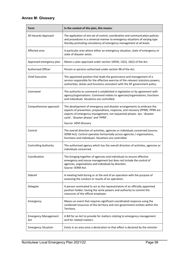### <span id="page-57-0"></span>**Annex M: Glossary**

| <b>Term</b>                        | In the context of this plan, this means:                                                                                                                                                                                                                                                         |
|------------------------------------|--------------------------------------------------------------------------------------------------------------------------------------------------------------------------------------------------------------------------------------------------------------------------------------------------|
| All Hazards Approach               | The application of one set of control, coordination and communication policies<br>and procedures in a universal manner to emergency situations of varying type<br>thereby promoting consistency of emergency management at all levels.                                                           |
| Affected area                      | A particular area where either an emergency situation, state of emergency or<br>state of disaster exists.                                                                                                                                                                                        |
| Approved emergency plan            | Means a plan approved under section 10930, 13(2), 16(2) of the Act.                                                                                                                                                                                                                              |
| Authorised Officer                 | Person or persons authorised under section 98 of the Act.                                                                                                                                                                                                                                        |
| <b>Chief Executive</b>             | The appointed position that leads the governance and management of a<br>service responsible for the effective exercise of the relevant statutory powers,<br>authorities, duties and functions consistent with the NT government policy.                                                          |
| Command                            | The authority to command is established in legislation or by agreement with<br>agency/organisations. Command relates to agencies/organisations, functions<br>and individuals. Situations are controlled.                                                                                         |
| Comprehensive approach             | The development of emergency and disaster arrangements to embrace the<br>aspects of prevention, preparedness, response, and recovery (PPRR). PPRR are<br>aspects of emergency management, not sequential phases. Syn. 'disaster<br>cycle', 'disaster phases' and 'PPRR'.<br>Source: AEM Glossary |
| Control                            | The overall direction of activities, agencies or individuals concerned (source;<br>SERM Act). Control operates horizontally across agencies / organisations,<br>functions and individuals. Situations are controlled.                                                                            |
| <b>Controlling Authority</b>       | The authorised agency which has the overall direction of activities, agencies or<br>individuals concerned.                                                                                                                                                                                       |
| Coordination                       | The bringing together of agencies and individuals to ensure effective<br>emergency and rescue management but does not include the control of<br>agencies, organisations and individuals by direction.<br>Source: SERM Act.                                                                       |
| Debrief                            | A meeting held during or at the end of an operation with the purpose of<br>assessing the conduct or results of an operation.                                                                                                                                                                     |
| Delegate                           | A person nominated to act as the representative of an officially appointed<br>position holder, having the same powers and authority to commit the<br>resources of the official employee.                                                                                                         |
| Emergency                          | Means an event that requires significant coordinated response using the<br>combined resources of the territory and non-government entities within the<br>Territory.                                                                                                                              |
| <b>Emergency Management</b><br>Act | A Bill for an Act to provide for matters relating to emergency management<br>and for related matters.                                                                                                                                                                                            |
| <b>Emergency Situation</b>         | Exists in an area once a declaration to that effect is declared by the minister                                                                                                                                                                                                                  |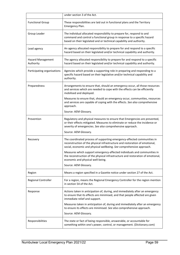|                                | under section 3 of the Act.                                                                                                                                                                                                    |
|--------------------------------|--------------------------------------------------------------------------------------------------------------------------------------------------------------------------------------------------------------------------------|
| <b>Functional Group</b>        | These responsibilities are laid out in functional plans and the Territory<br>Emergency Plan.                                                                                                                                   |
| Group Leader                   | The individual allocated responsibility to prepare for, respond to and<br>command and control a functional group in response to a specific hazard<br>based on their legislated and or technical capability and authority.      |
| Lead agency                    | An agency allocated responsibility to prepare for and respond to a specific<br>hazard based on their legislated and/or technical capability and authority.                                                                     |
| Hazard Management<br>Authority | The agency allocated responsibility to prepare for and respond to a specific<br>hazard based on their legislated and/or technical capability and authority.                                                                    |
| Participating organisations    | Agencies which provide a supporting role in preparing and responding to a<br>specific hazard based on their legislative and/or technical capability and<br>authority.                                                          |
| Preparedness                   | Arrangements to ensure that, should an emergency occur, all those resources<br>and services which are needed to cope with the effects can be efficiently<br>mobilised and deployed.                                            |
|                                | Measures to ensure that, should an emergency occur, communities, resources<br>and services are capable of coping with the effects. See also comprehensive<br>approach.                                                         |
|                                | Source: AEM Glossary.                                                                                                                                                                                                          |
| Prevention                     | Regulatory and physical measures to ensure that Emergencies are prevented,<br>or their effects mitigated. Measures to eliminate or reduce the incidence or<br>severity of emergencies. See also comprehensive approach.        |
|                                | Source: AEM Glossary.                                                                                                                                                                                                          |
| Recovery                       | The coordinated process of supporting emergency-affected communities in<br>reconstruction of the physical infrastructure and restoration of emotional,<br>social, economic and physical wellbeing. See comprehensive approach. |
|                                | Measures which support emergency-affected individuals and communities in<br>the reconstruction of the physical infrastructure and restoration of emotional,<br>economic and physical well-being.                               |
|                                | Source: AEM Glossary.                                                                                                                                                                                                          |
| Region                         | Means a region specified in a Gazette notice under section 27 of the Act.                                                                                                                                                      |
| Regional Controller            | For a region, means the Regional Emergency Controller for the region mention<br>in section 54 of the Act.                                                                                                                      |
| Response                       | Actions taken in anticipation of, during, and immediately after an emergency<br>to ensure that its effects are minimised, and that people affected are given<br>immediate relief and support.                                  |
|                                | Measures taken in anticipation of, during and immediately after an emergency<br>to ensure its effects are minimised. See also comprehensive approach.                                                                          |
|                                | Source: AEM Glossary.                                                                                                                                                                                                          |
| Responsibilities               | The state or fact of being responsible, answerable, or accountable for<br>something within one's power, control, or management. (Dictionary.com)                                                                               |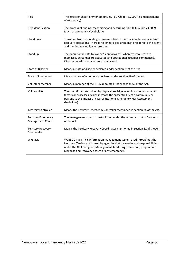| Risk                                                    | The effect of uncertainty or objectives. (ISO Guide 73.2009 Risk management<br>- Vocabulary)                                                                                                                                                                                         |
|---------------------------------------------------------|--------------------------------------------------------------------------------------------------------------------------------------------------------------------------------------------------------------------------------------------------------------------------------------|
| <b>Risk Identification</b>                              | The process of finding, recognising and describing risks (ISO Guide 73.2009<br>Risk management - Vocabulary).                                                                                                                                                                        |
| Stand down                                              | Transition from responding to an event back to normal core business and/or<br>recovery operations. There is no longer a requirement to respond to the event<br>and the threat is no longer present.                                                                                  |
| Stand up                                                | The operational state following "lean forward:" whereby resources are<br>mobilised, personnel are activated and operational activities commenced.<br>Disaster coordination centers are activated.                                                                                    |
| <b>State of Disaster</b>                                | Means a state of disaster declared under section 21 of the Act.                                                                                                                                                                                                                      |
| <b>State of Emergency</b>                               | Means a state of emergency declared under section 19 of the Act.                                                                                                                                                                                                                     |
| Volunteer member                                        | Means a member of the NTES appointed under section 52 of the Act.                                                                                                                                                                                                                    |
| Vulnerability                                           | The conditions determined by physical, social, economic and environmental<br>factors or processes, which increase the susceptibility of a community or<br>persons to the impact of hazards (National Emergency Risk Assessment<br>Guidelines).                                       |
| <b>Territory Controller</b>                             | Means the Territory Emergency Controller mentioned in section 28 of the Act.                                                                                                                                                                                                         |
| <b>Territory Emergency</b><br><b>Management Council</b> | The management council is established under the terms laid out in Division 4<br>of the Act.                                                                                                                                                                                          |
| <b>Territory Recovery</b><br>Coordinator                | Means the Territory Recovery Coordinator mentioned in section 32 of the Act.                                                                                                                                                                                                         |
| WebEOC                                                  | WebEOC is a critical information management system used throughout the<br>Northern Territory. It is used by agencies that have roles and responsibilities<br>under the NT Emergency Management Act during prevention, preparation,<br>response and recovery phases of any emergency. |